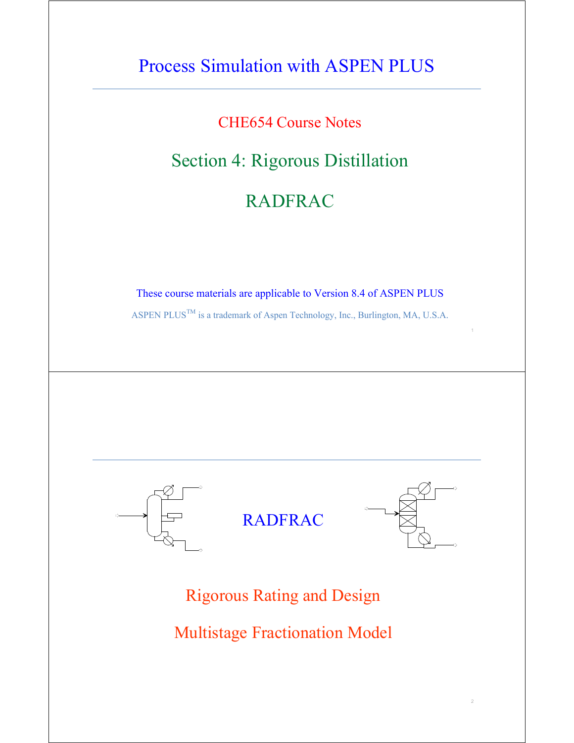## Process Simulation with ASPEN PLUS

### CHE654 Course Notes

## Section 4: Rigorous Distillation

## RADFRAC

These course materials are applicable to Version 8.4 of ASPEN PLUS

ASPEN PLUS<sup>TM</sup> is a trademark of Aspen Technology, Inc., Burlington, MA, U.S.A.

1

2



Rigorous Rating and Design

Multistage Fractionation Model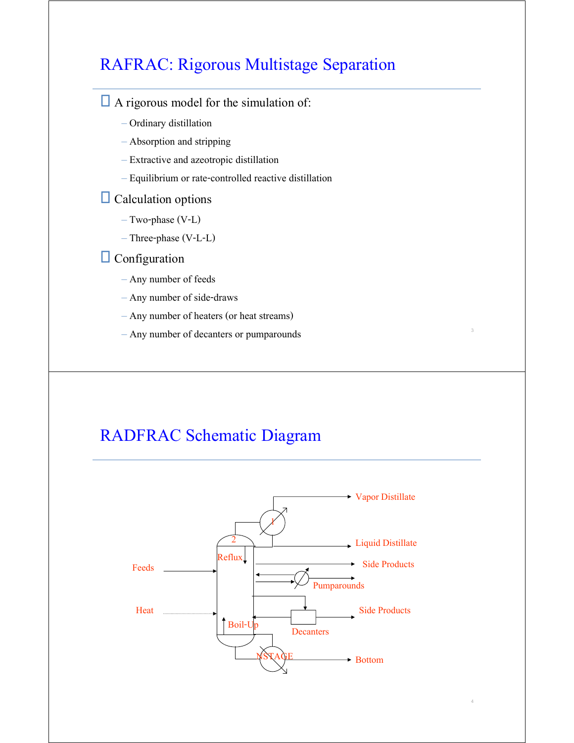### RAFRAC: Rigorous Multistage Separation

### $\Box$  A rigorous model for the simulation of:

- Ordinary distillation
- Absorption and stripping
- Extractive and azeotropic distillation
- Equilibrium or rate-controlled reactive distillation

### **Calculation options**

- Two-phase (V-L)
- Three-phase (V-L-L)

### **O** Configuration

- Any number of feeds
- Any number of side-draws
- Any number of heaters (or heat streams)
- Any number of decanters or pumparounds

### RADFRAC Schematic Diagram



3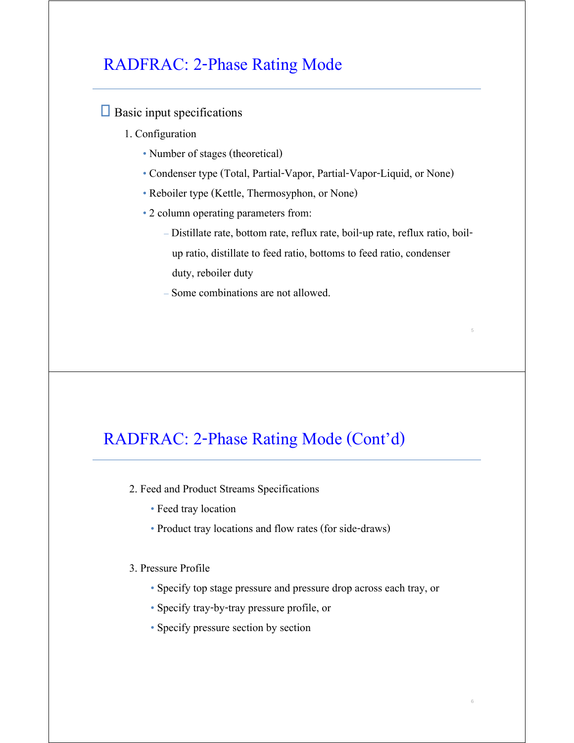### RADFRAC: 2-Phase Rating Mode

### $\Box$  Basic input specifications

- 1. Configuration
	- Number of stages (theoretical)
	- Condenser type (Total, Partial-Vapor, Partial-Vapor-Liquid, or None)
	- Reboiler type (Kettle, Thermosyphon, or None)
	- 2 column operating parameters from:
		- Distillate rate, bottom rate, reflux rate, boil-up rate, reflux ratio, boil up ratio, distillate to feed ratio, bottoms to feed ratio, condenser duty, reboiler duty

5

6

– Some combinations are not allowed.

### RADFRAC: 2-Phase Rating Mode (Cont'd)

- 2. Feed and Product Streams Specifications
	- Feed tray location
	- Product tray locations and flow rates (for side-draws)

#### 3. Pressure Profile

- Specify top stage pressure and pressure drop across each tray, or
- Specify tray-by-tray pressure profile, or
- Specify pressure section by section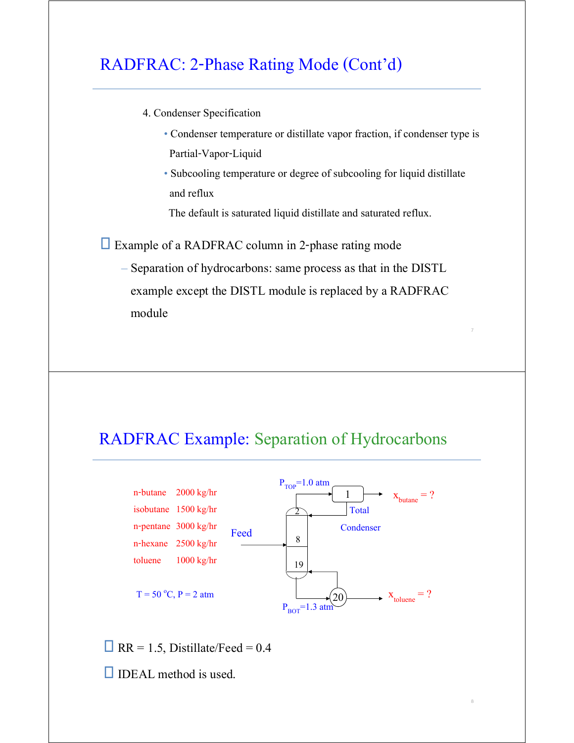### RADFRAC: 2-Phase Rating Mode (Cont'd)

- 4. Condenser Specification
	- Condenser temperature or distillate vapor fraction, if condenser type is Partial-Vapor-Liquid

7

8

• Subcooling temperature or degree of subcooling for liquid distillate and reflux

The default is saturated liquid distillate and saturated reflux.

Example of a RADFRAC column in 2-phase rating mode

– Separation of hydrocarbons: same process as that in the DISTL example except the DISTL module is replaced by a RADFRAC module

### RADFRAC Example: Separation of Hydrocarbons



 $\Box$  RR = 1.5, Distillate/Feed = 0.4

 $\Box$  IDEAL method is used.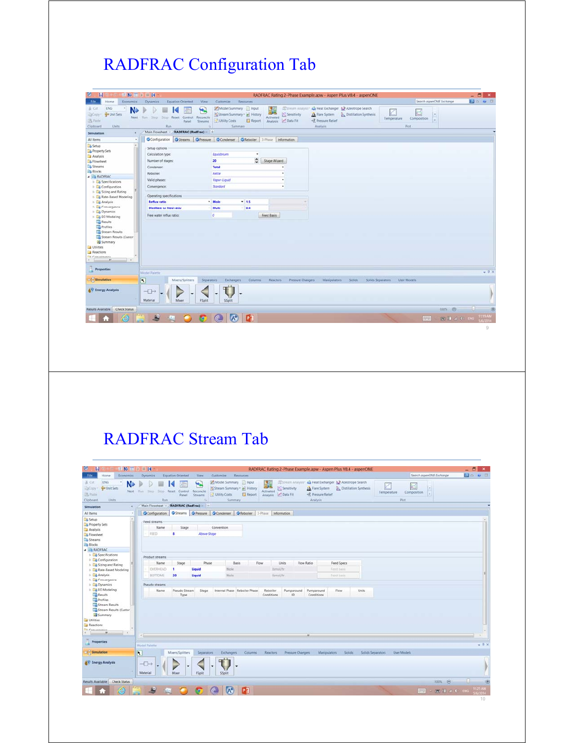# RADFRAC Configuration Tab

| File<br>Economics<br>Home                                                                                                                                                                     |                                                                                                            |                                                                                                   |                                                      | RADFRAC Rating 2-Phase Example.apw - Aspen Plus V8.4 - aspenONE                                                                                 |                                                         | $-B$ x                                        |
|-----------------------------------------------------------------------------------------------------------------------------------------------------------------------------------------------|------------------------------------------------------------------------------------------------------------|---------------------------------------------------------------------------------------------------|------------------------------------------------------|-------------------------------------------------------------------------------------------------------------------------------------------------|---------------------------------------------------------|-----------------------------------------------|
|                                                                                                                                                                                               | Equation Oriented<br><b>Dynamics</b><br>View                                                               | Customize<br><b>Resources</b>                                                                     |                                                      |                                                                                                                                                 | Search aspenONE Exchange                                | 20 0 3                                        |
| ENG<br>& Cirt<br>٠<br>N.<br><b>Drill</b> Unit Sets<br>-acony<br><b>B</b> Paide<br>Clipboard<br><b>Units</b>                                                                                   | $\overline{\mathbf{r}}$<br>Next Run Step Stop Reset Control<br>Reconcile<br><b>Streams</b><br>Panel<br>Run | Model Summary Input<br>Stream Summary - A History<br><b>El Report</b><br>Utility Costs<br>Summary | Sensitivity<br>Activated<br>Let Data Fit<br>Analysis | Stream Analysis: 40 Heat Exchanger: 12 Azeotrope Search<br>Distillation Synthesis<br><b>J.A.</b> Flare System<br><3 Pressure Relief<br>Analysis | K<br>ď<br>×<br>Temperature<br>Composition<br>×.<br>Piot |                                               |
| Simulation<br>$\epsilon$                                                                                                                                                                      | Main Flowsheet RADFRAC (RadFrac) +                                                                         |                                                                                                   |                                                      |                                                                                                                                                 |                                                         |                                               |
| All items<br>$\alpha$                                                                                                                                                                         | O Configuration Streams O Pressure O Condenser O Reboiler 3-Phase Information                              |                                                                                                   |                                                      |                                                                                                                                                 |                                                         |                                               |
| $\sim$<br>Setup                                                                                                                                                                               |                                                                                                            |                                                                                                   |                                                      |                                                                                                                                                 |                                                         |                                               |
| Property Sets                                                                                                                                                                                 | Setup options                                                                                              |                                                                                                   |                                                      |                                                                                                                                                 |                                                         |                                               |
| Analysis                                                                                                                                                                                      | Calculation type:                                                                                          | Equilibrium<br>٠                                                                                  |                                                      |                                                                                                                                                 |                                                         |                                               |
| B Flowsheet                                                                                                                                                                                   | Number of stages:                                                                                          | $\hat{\cdot}$<br>20                                                                               | Stage Wizard                                         |                                                                                                                                                 |                                                         |                                               |
| <b>Co</b> Streams                                                                                                                                                                             | Condenser:                                                                                                 | <b>Total</b>                                                                                      |                                                      |                                                                                                                                                 |                                                         |                                               |
| <b>Blocks</b>                                                                                                                                                                                 |                                                                                                            |                                                                                                   |                                                      |                                                                                                                                                 |                                                         |                                               |
| <b>A E</b> RADFRAC                                                                                                                                                                            | Reboiler.                                                                                                  | Kettle                                                                                            |                                                      |                                                                                                                                                 |                                                         |                                               |
| <b>D</b> Specifications                                                                                                                                                                       | Valid phases:                                                                                              | Vapor-Liquid                                                                                      | $\overline{\phantom{a}}$                             |                                                                                                                                                 |                                                         |                                               |
| <b>Configuration</b>                                                                                                                                                                          | Convergence:                                                                                               | Standard                                                                                          | $\bullet$                                            |                                                                                                                                                 |                                                         |                                               |
| <b>b Lig</b> Sizing and Rating                                                                                                                                                                |                                                                                                            |                                                                                                   |                                                      |                                                                                                                                                 |                                                         |                                               |
| <b>E.</b> Rate-Based Modeling                                                                                                                                                                 | Operating specifications                                                                                   |                                                                                                   |                                                      |                                                                                                                                                 |                                                         |                                               |
| <b>D</b> Analysis                                                                                                                                                                             | <b>Reflux ratio</b>                                                                                        | * Mole<br>$-1.5$                                                                                  | w.                                                   |                                                                                                                                                 |                                                         |                                               |
| <b>Convergence</b>                                                                                                                                                                            |                                                                                                            |                                                                                                   |                                                      |                                                                                                                                                 |                                                         |                                               |
| Dynamics                                                                                                                                                                                      | <b>Distillate to feed ratio</b>                                                                            | $-0.4$<br>- Mole                                                                                  | <b>Service</b>                                       |                                                                                                                                                 |                                                         |                                               |
| <b>EQ EO Modeling</b>                                                                                                                                                                         | Free water reflux ratio:                                                                                   | $\sigma$                                                                                          | Feed Basis                                           |                                                                                                                                                 |                                                         |                                               |
|                                                                                                                                                                                               |                                                                                                            |                                                                                                   |                                                      |                                                                                                                                                 |                                                         |                                               |
| <b>Results</b>                                                                                                                                                                                |                                                                                                            |                                                                                                   |                                                      |                                                                                                                                                 |                                                         |                                               |
| <b>Profiles</b>                                                                                                                                                                               |                                                                                                            |                                                                                                   |                                                      |                                                                                                                                                 |                                                         |                                               |
|                                                                                                                                                                                               |                                                                                                            |                                                                                                   |                                                      |                                                                                                                                                 |                                                         |                                               |
|                                                                                                                                                                                               |                                                                                                            |                                                                                                   |                                                      |                                                                                                                                                 |                                                         |                                               |
|                                                                                                                                                                                               |                                                                                                            |                                                                                                   |                                                      |                                                                                                                                                 |                                                         |                                               |
|                                                                                                                                                                                               |                                                                                                            |                                                                                                   |                                                      |                                                                                                                                                 |                                                         |                                               |
|                                                                                                                                                                                               |                                                                                                            |                                                                                                   |                                                      |                                                                                                                                                 |                                                         |                                               |
|                                                                                                                                                                                               |                                                                                                            |                                                                                                   |                                                      |                                                                                                                                                 |                                                         |                                               |
|                                                                                                                                                                                               |                                                                                                            |                                                                                                   |                                                      |                                                                                                                                                 |                                                         |                                               |
| $-311$<br>$\cdots$                                                                                                                                                                            |                                                                                                            |                                                                                                   |                                                      |                                                                                                                                                 |                                                         |                                               |
|                                                                                                                                                                                               |                                                                                                            |                                                                                                   |                                                      |                                                                                                                                                 |                                                         |                                               |
|                                                                                                                                                                                               | <b>Model Palette</b>                                                                                       |                                                                                                   |                                                      |                                                                                                                                                 |                                                         |                                               |
|                                                                                                                                                                                               |                                                                                                            |                                                                                                   |                                                      |                                                                                                                                                 |                                                         |                                               |
|                                                                                                                                                                                               | $\overline{\mathbf{R}}$<br>Mixers/Splitters                                                                | <b>Exchangers</b><br>Columns<br>Separators                                                        | Reactors<br><b>Pressure Changers</b>                 | Manipulators<br>Solids                                                                                                                          | Solids Separators<br>User Models                        |                                               |
|                                                                                                                                                                                               |                                                                                                            |                                                                                                   |                                                      |                                                                                                                                                 |                                                         |                                               |
|                                                                                                                                                                                               | $\neg$                                                                                                     |                                                                                                   |                                                      |                                                                                                                                                 |                                                         |                                               |
|                                                                                                                                                                                               |                                                                                                            |                                                                                                   |                                                      |                                                                                                                                                 |                                                         |                                               |
|                                                                                                                                                                                               | <b>Material</b><br>Mixer<br>FSplit                                                                         | SSplit                                                                                            |                                                      |                                                                                                                                                 |                                                         |                                               |
|                                                                                                                                                                                               |                                                                                                            |                                                                                                   |                                                      |                                                                                                                                                 |                                                         |                                               |
| Stream Results<br>Stream Results (Custor)<br>Summary<br>Utilities<br>Reactions<br><b>TIA</b> Commissioner<br>Properties<br>Simulation<br>&V Energy Analysis<br>Results Available Check Status |                                                                                                            |                                                                                                   |                                                      |                                                                                                                                                 | 100% @                                                  | $+9x$                                         |
|                                                                                                                                                                                               | 編<br>644                                                                                                   | P <sub>1</sub>                                                                                    |                                                      |                                                                                                                                                 | <b>FOR</b><br>۰                                         | 11:19 AM<br>$\mathbf{H}$ 1 4 $\mathbf{I}$ and |

# RADFRAC Stream Tab

| ы<br><b>CENT</b>                                                                                          | <b>球腔 国 区 田 国</b><br>RADFRAC Rating 2-Phase Example.apw - Aspen Plus V8.4 - aspenONE                                                                                                                                                                                                                                                                                                                                                                                                                                      | $ \Box$<br>$\mathbf{x}$ |
|-----------------------------------------------------------------------------------------------------------|---------------------------------------------------------------------------------------------------------------------------------------------------------------------------------------------------------------------------------------------------------------------------------------------------------------------------------------------------------------------------------------------------------------------------------------------------------------------------------------------------------------------------|-------------------------|
| Economics<br><b>File</b><br>Home                                                                          | Search aspenONE Exchange<br><b>Dynamics</b><br><b>Equation Oriented</b><br><b>Wew</b><br>Customize<br>Resources                                                                                                                                                                                                                                                                                                                                                                                                           | <b>DO VB</b>            |
| ENG<br>& Cut<br>٠<br>N<br><b>G</b> Unit Sets<br>EaCopy<br><b>The Plastic</b><br>Clipboard<br><b>Units</b> | Model Summary   Input<br>Stream Analysis <sup>+</sup> 4.4 Heat Exchanger 1.2 Azeotrope Search<br>т<br>Ł<br>K<br>K<br><b>DR</b><br>Stream Summary · @ History<br><b>ZC</b> Sensitivity<br>$\left  \cdot \right $<br><b>J.A.</b> Flare System<br><b>Distillation Synthesis</b><br>Next Firm Step Stop Reset Control Reconcile<br>Activated<br>Temperature<br>Composition<br>in 1<br>Data Fit<br><3, Pressure Relief<br>Utility Costs<br>Report<br>Streams<br>Analysis<br>Panel.<br>Analysis<br>Plat<br>Ran<br>Summary<br>n. |                         |
| ×<br>Simulation                                                                                           | <b>RADFRAC (RadFrac) +</b><br>Main Flowsheet X                                                                                                                                                                                                                                                                                                                                                                                                                                                                            |                         |
| All Items<br>٠                                                                                            | Streams O Pressure O Condenser O Reboiler 3-Phase Information<br>Configuration                                                                                                                                                                                                                                                                                                                                                                                                                                            |                         |
| Setup                                                                                                     | Feed streams                                                                                                                                                                                                                                                                                                                                                                                                                                                                                                              |                         |
| Property Sets                                                                                             | Name<br>Stage<br>Convention                                                                                                                                                                                                                                                                                                                                                                                                                                                                                               |                         |
| Analysis                                                                                                  | FEED<br>Above-Stage<br>a                                                                                                                                                                                                                                                                                                                                                                                                                                                                                                  |                         |
| <b>B</b> Flowsheet<br>Streams                                                                             |                                                                                                                                                                                                                                                                                                                                                                                                                                                                                                                           |                         |
| <b>Da Blocks</b>                                                                                          |                                                                                                                                                                                                                                                                                                                                                                                                                                                                                                                           |                         |
| <b>4 28 RADFRAC</b>                                                                                       |                                                                                                                                                                                                                                                                                                                                                                                                                                                                                                                           |                         |
| <b>D</b> Specifications                                                                                   | Product streams                                                                                                                                                                                                                                                                                                                                                                                                                                                                                                           |                         |
| Configuration                                                                                             | Phase<br>Basis<br>Flow<br>Units<br>Flow Ratio<br>Feed Specs                                                                                                                                                                                                                                                                                                                                                                                                                                                               |                         |
| <b>E</b> Sizing and Rating                                                                                | Name<br>Stage                                                                                                                                                                                                                                                                                                                                                                                                                                                                                                             |                         |
| <b>E. Rate-Based Modeling</b>                                                                             | Mole<br>OVERHEAD<br>Liquid<br><b>IbmoUhr</b><br>٠<br>Feed basis                                                                                                                                                                                                                                                                                                                                                                                                                                                           |                         |
| <b>b</b> Co Analysis<br>Convergence                                                                       | 20<br>BOTTOMS<br>Mole<br>Feed basis<br>Liquid<br><b>TomcUltr</b>                                                                                                                                                                                                                                                                                                                                                                                                                                                          |                         |
| Dynamics                                                                                                  | Pseudo streams                                                                                                                                                                                                                                                                                                                                                                                                                                                                                                            |                         |
| <b>Ed EO Modeling</b>                                                                                     | Pseudo Stream<br>Internal Phase Reboiler Phase<br>Pumparound Pumparound<br>Name<br>Stage<br>Reboller<br>Flow<br>Units                                                                                                                                                                                                                                                                                                                                                                                                     |                         |
| Results                                                                                                   | Conditions<br>ID.<br>Conditions<br>Type                                                                                                                                                                                                                                                                                                                                                                                                                                                                                   |                         |
| <b>Profiles</b>                                                                                           |                                                                                                                                                                                                                                                                                                                                                                                                                                                                                                                           |                         |
| Stream Results                                                                                            |                                                                                                                                                                                                                                                                                                                                                                                                                                                                                                                           |                         |
| Stream Results (Custor)<br>Summary                                                                        |                                                                                                                                                                                                                                                                                                                                                                                                                                                                                                                           |                         |
| <b>Utilities</b>                                                                                          |                                                                                                                                                                                                                                                                                                                                                                                                                                                                                                                           |                         |
| Reactions                                                                                                 |                                                                                                                                                                                                                                                                                                                                                                                                                                                                                                                           |                         |
| <b>A. Crossmonra</b>                                                                                      |                                                                                                                                                                                                                                                                                                                                                                                                                                                                                                                           |                         |
| $\bullet$<br>m                                                                                            | m.<br><b>A 100</b>                                                                                                                                                                                                                                                                                                                                                                                                                                                                                                        |                         |
| <b>Properties</b>                                                                                         |                                                                                                                                                                                                                                                                                                                                                                                                                                                                                                                           |                         |
|                                                                                                           | Model Palette                                                                                                                                                                                                                                                                                                                                                                                                                                                                                                             | $-1 x$                  |
| Simulation                                                                                                | $\overline{\mathbf{R}}$<br>Mixers/Splitters<br>Separators<br><b>Exchangers</b><br>Columns<br>Reactors<br>Pressure Changers<br><b>Manipulators</b><br>Solids<br>Solids Separators<br><b>User Models</b>                                                                                                                                                                                                                                                                                                                    |                         |
|                                                                                                           |                                                                                                                                                                                                                                                                                                                                                                                                                                                                                                                           |                         |
| & Energy Analysis                                                                                         | $\neg$<br>۰                                                                                                                                                                                                                                                                                                                                                                                                                                                                                                               |                         |
|                                                                                                           |                                                                                                                                                                                                                                                                                                                                                                                                                                                                                                                           |                         |
|                                                                                                           |                                                                                                                                                                                                                                                                                                                                                                                                                                                                                                                           |                         |
|                                                                                                           | Material<br>Mixer<br><b>FSplit</b><br>SSplit                                                                                                                                                                                                                                                                                                                                                                                                                                                                              |                         |
|                                                                                                           | 100% ©                                                                                                                                                                                                                                                                                                                                                                                                                                                                                                                    | œ                       |
| Results Available Check Status                                                                            | P <sub>3</sub><br>$\Lambda$<br><b>BDAO</b><br><b>FOUR</b><br>×                                                                                                                                                                                                                                                                                                                                                                                                                                                            | <b>1125 AM</b>          |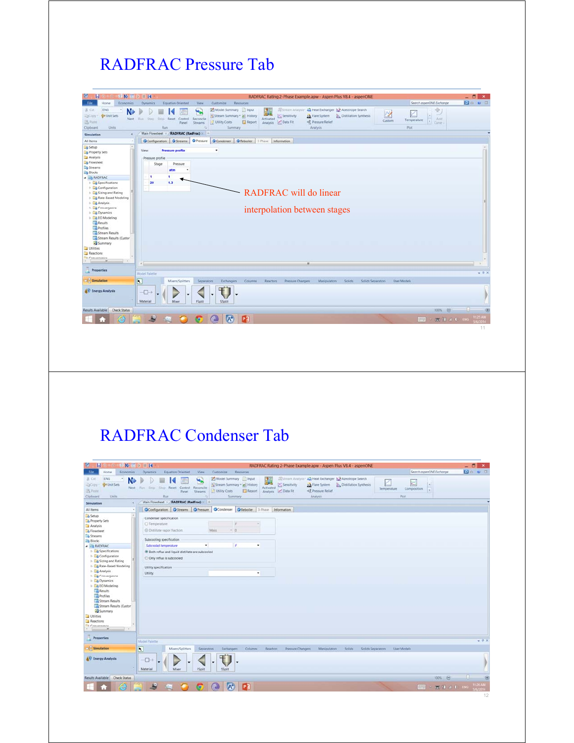## RADFRAC Pressure Tab

|                                                                                                   | $x^2$ No $x^2$ is $x^2$ in 14                                                             | RADFRAC Rating 2-Phase Example.apw - Aspen Plus V8.4 - aspenONE                                                                                                                                                                                                                                                        |                                                                          | $ \theta$ x  |
|---------------------------------------------------------------------------------------------------|-------------------------------------------------------------------------------------------|------------------------------------------------------------------------------------------------------------------------------------------------------------------------------------------------------------------------------------------------------------------------------------------------------------------------|--------------------------------------------------------------------------|--------------|
| File<br>Economics<br>Home                                                                         | <b>Equation Oriented</b><br><b>Wew</b><br><b>Dynamics</b>                                 | Customize<br>Resources                                                                                                                                                                                                                                                                                                 | Search aspenONE Exchange                                                 | <b>DOW B</b> |
| ENG<br>& Cut<br>٠<br><b>G</b> Unit Sets<br>23Copy<br><b>TS Paste</b><br>Clipboard<br><b>Units</b> | ₩.<br>Next Run Step<br>Sting Reset Control<br>Reconcile<br>Panel.<br>Streams<br>Ran<br>n. | Model Summary Input<br>Stream Analysis<br>æ.<br>44 Heat Exchanger & Azeotrope Search<br>理解<br>Sensitivity<br>Stream Summary * @ History<br><b>J.A.</b> Flare System<br><b>Distillation Synthesis</b><br>Activated<br><3, Pressure Relief<br>Utility Costs<br>Analysis <b>Data Fit</b><br>Report<br>Analysis<br>Summary | ÷<br>2<br>$\sim$<br>Add<br>Temperature<br>Custom<br>$ 1 $ Cirret<br>Pict |              |
| x<br>Simulation                                                                                   | Main Flowsheet<br><b>RADFRAC (RadFrac) +</b>                                              |                                                                                                                                                                                                                                                                                                                        |                                                                          |              |
| All Items<br>$\overline{\phantom{a}}$                                                             |                                                                                           | OConfiguration OStreams OPressure OCondenser OReboiler 3-Phase Information                                                                                                                                                                                                                                             |                                                                          |              |
| $\bullet$<br>Setup                                                                                |                                                                                           | ٠                                                                                                                                                                                                                                                                                                                      |                                                                          |              |
| Property Sets                                                                                     | <b>Pressure profile</b><br>View:                                                          |                                                                                                                                                                                                                                                                                                                        |                                                                          |              |
| Analysis                                                                                          | Pressure profile                                                                          |                                                                                                                                                                                                                                                                                                                        |                                                                          |              |
| <b>B</b> Flowsheet                                                                                | Stage<br>Pressure                                                                         |                                                                                                                                                                                                                                                                                                                        |                                                                          |              |
| Streams                                                                                           | atm                                                                                       |                                                                                                                                                                                                                                                                                                                        |                                                                          |              |
| <b>Zig Blocks</b>                                                                                 | ٠                                                                                         |                                                                                                                                                                                                                                                                                                                        |                                                                          |              |
| <b>4 28 RADFRAC</b>                                                                               | 13                                                                                        |                                                                                                                                                                                                                                                                                                                        |                                                                          |              |
| <b>De Specifications</b>                                                                          | 20                                                                                        |                                                                                                                                                                                                                                                                                                                        |                                                                          |              |
| Configuration                                                                                     |                                                                                           |                                                                                                                                                                                                                                                                                                                        |                                                                          |              |
| <b>E</b> Sizing and Rating                                                                        |                                                                                           | RADFRAC will do linear                                                                                                                                                                                                                                                                                                 |                                                                          |              |
| <b>E. Rate-Based Modeling</b>                                                                     |                                                                                           |                                                                                                                                                                                                                                                                                                                        |                                                                          |              |
| <b>b Co</b> Analysis                                                                              |                                                                                           |                                                                                                                                                                                                                                                                                                                        |                                                                          |              |
| <b>Convergence</b>                                                                                |                                                                                           | interpolation between stages                                                                                                                                                                                                                                                                                           |                                                                          |              |
| Dynamics<br><b>EQ EO Modeling</b>                                                                 |                                                                                           |                                                                                                                                                                                                                                                                                                                        |                                                                          |              |
|                                                                                                   |                                                                                           |                                                                                                                                                                                                                                                                                                                        |                                                                          |              |
| <b>Pesuits</b><br><b>Profiles</b>                                                                 |                                                                                           |                                                                                                                                                                                                                                                                                                                        |                                                                          |              |
| Stream Results                                                                                    |                                                                                           |                                                                                                                                                                                                                                                                                                                        |                                                                          |              |
| Stream Results (Custor                                                                            |                                                                                           |                                                                                                                                                                                                                                                                                                                        |                                                                          |              |
| Summary                                                                                           |                                                                                           |                                                                                                                                                                                                                                                                                                                        |                                                                          |              |
| Utilities                                                                                         |                                                                                           |                                                                                                                                                                                                                                                                                                                        |                                                                          |              |
| Reactions                                                                                         |                                                                                           |                                                                                                                                                                                                                                                                                                                        |                                                                          |              |
| <b>L. Crausensers</b>                                                                             |                                                                                           |                                                                                                                                                                                                                                                                                                                        |                                                                          |              |
| $\bullet$<br>$\sim$                                                                               |                                                                                           | .er-                                                                                                                                                                                                                                                                                                                   |                                                                          |              |
|                                                                                                   |                                                                                           |                                                                                                                                                                                                                                                                                                                        |                                                                          |              |
| <b>Properties</b>                                                                                 | <b>Model Palette</b>                                                                      |                                                                                                                                                                                                                                                                                                                        |                                                                          | $-9x$        |
|                                                                                                   |                                                                                           |                                                                                                                                                                                                                                                                                                                        |                                                                          |              |
| $\overline{\mathbf{N}}$<br>Simulation                                                             | Mixers/Splitters<br>Separators                                                            | <b>Manipulators</b><br>Exchangers<br>Columns<br><b>Reactors</b><br>Pressure Changers<br>Solids                                                                                                                                                                                                                         | Solids Separators<br><b>User Models</b>                                  |              |
|                                                                                                   |                                                                                           |                                                                                                                                                                                                                                                                                                                        |                                                                          |              |
| <b>AV Energy Analysis</b>                                                                         | $\neg$<br>۰<br>٠                                                                          |                                                                                                                                                                                                                                                                                                                        |                                                                          |              |
|                                                                                                   |                                                                                           |                                                                                                                                                                                                                                                                                                                        |                                                                          |              |
|                                                                                                   | Material<br>Mixer<br>FSplit                                                               | SSplit                                                                                                                                                                                                                                                                                                                 |                                                                          |              |
| Results Available Check Status                                                                    |                                                                                           |                                                                                                                                                                                                                                                                                                                        | 100% ©                                                                   | 30           |
|                                                                                                   |                                                                                           |                                                                                                                                                                                                                                                                                                                        |                                                                          |              |
| e                                                                                                 | A)<br>塩<br><b>C</b><br>$\left($<br>o                                                      | $\mathbf{P}$<br>$(A^+)$                                                                                                                                                                                                                                                                                                | $1.444$ $-1.444$ $-1.444$                                                | 1125 AM      |
|                                                                                                   |                                                                                           |                                                                                                                                                                                                                                                                                                                        |                                                                          |              |

## RADFRAC Condenser Tab

|                                                                                                                                                                          |    | <b>SNEPHR</b>                                                 |                                                                                            |                  |                            |                                      |                                         |                  |                 | RADFRAC Rating 2-Phase Example.apw - Aspen Plus V8.4 - aspenONE |                                                                                                               |                               |                   |                          |                  |                          | $-5$<br>$\mathbf{x}$ |
|--------------------------------------------------------------------------------------------------------------------------------------------------------------------------|----|---------------------------------------------------------------|--------------------------------------------------------------------------------------------|------------------|----------------------------|--------------------------------------|-----------------------------------------|------------------|-----------------|-----------------------------------------------------------------|---------------------------------------------------------------------------------------------------------------|-------------------------------|-------------------|--------------------------|------------------|--------------------------|----------------------|
| <b>File</b><br>Economics<br>Home                                                                                                                                         |    | <b>Dynamics</b>                                               | <b>Equation Oriented</b>                                                                   |                  | View                       | Customize                            | Resources                               |                  |                 |                                                                 |                                                                                                               |                               |                   |                          |                  | Search asperONE Exchange | <b>Do v 8</b>        |
| ENG<br>A Cut<br>Unit Sets<br><b>DOCODY</b><br><b>By Paste</b><br>Clipboard<br><b>Units</b>                                                                               | N. | Next Run Step Stop Reset Control Reconcile                    | ĸ<br>Run:                                                                                  | Panel            | ۳.<br><b>Streams</b><br>ь  | Model Summary Input<br>Utility Costs | Stream Summary * @ History<br>Summary   | <b>El Report</b> | r.<br>Activated | Sensitivity<br>Analysis C Data Fit                              | Stream Analysis*, An Heat Exchanger   Azeotrope Search<br>J.A. Flare System<br>+8 Pressure Relief<br>Analysis | <b>Distillation Synthesis</b> |                   | K<br>Temperature<br>Plot | ×<br>Composition | i wi<br>w                |                      |
| Simulation                                                                                                                                                               | k. | Main Flowsheet X                                              |                                                                                            |                  | <b>RADFRAC (RadFrac)</b> + |                                      |                                         |                  |                 |                                                                 |                                                                                                               |                               |                   |                          |                  |                          |                      |
| All items                                                                                                                                                                | ٠  |                                                               | O Configuration Streams O Pressure                                                         |                  |                            |                                      | Condenser CReboiler 3-Phase Information |                  |                 |                                                                 |                                                                                                               |                               |                   |                          |                  |                          |                      |
| Setup                                                                                                                                                                    |    |                                                               | Condenser specification                                                                    |                  |                            |                                      |                                         |                  |                 |                                                                 |                                                                                                               |                               |                   |                          |                  |                          |                      |
| Property Sets                                                                                                                                                            |    | O Temperature.                                                |                                                                                            |                  |                            |                                      | $\frac{1}{2}$                           | $\sim$           |                 |                                                                 |                                                                                                               |                               |                   |                          |                  |                          |                      |
| Analysis                                                                                                                                                                 |    |                                                               |                                                                                            |                  |                            |                                      |                                         |                  |                 |                                                                 |                                                                                                               |                               |                   |                          |                  |                          |                      |
| <b>B</b> Flowsheet                                                                                                                                                       |    |                                                               | C Distillate vapor fraction:                                                               |                  |                            | <b>Mass</b>                          | $-0$                                    |                  |                 |                                                                 |                                                                                                               |                               |                   |                          |                  |                          |                      |
| Streams                                                                                                                                                                  |    |                                                               | Subcooling specification                                                                   |                  |                            |                                      |                                         |                  |                 |                                                                 |                                                                                                               |                               |                   |                          |                  |                          |                      |
| <b>Ba Blocks</b><br><b>A B RADFRAC</b>                                                                                                                                   |    |                                                               | Subcooled temperature                                                                      |                  | ٠                          |                                      | . F                                     | ۰                |                 |                                                                 |                                                                                                               |                               |                   |                          |                  |                          |                      |
| <b>E</b> Specifications                                                                                                                                                  |    |                                                               |                                                                                            |                  |                            |                                      |                                         |                  |                 |                                                                 |                                                                                                               |                               |                   |                          |                  |                          |                      |
| <b>E</b> Configuration<br><b>B</b> Sizing and Rating                                                                                                                     |    |                                                               | <sup>9</sup> Both reflux and liquid distillate are subcooled<br>O Only reflux is subcooled |                  |                            |                                      |                                         |                  |                 |                                                                 |                                                                                                               |                               |                   |                          |                  |                          |                      |
| Rate-Based Modeling                                                                                                                                                      |    | Utility specification                                         |                                                                                            |                  |                            |                                      |                                         |                  |                 |                                                                 |                                                                                                               |                               |                   |                          |                  |                          |                      |
| <b>D</b> Analysis                                                                                                                                                        |    | Utility:                                                      |                                                                                            |                  |                            |                                      |                                         | ۰                |                 |                                                                 |                                                                                                               |                               |                   |                          |                  |                          |                      |
| <b>Convergence</b>                                                                                                                                                       |    |                                                               |                                                                                            |                  |                            |                                      |                                         |                  |                 |                                                                 |                                                                                                               |                               |                   |                          |                  |                          |                      |
| <b>ED</b> EO Modeling                                                                                                                                                    |    |                                                               |                                                                                            |                  |                            |                                      |                                         |                  |                 |                                                                 |                                                                                                               |                               |                   |                          |                  |                          |                      |
| $101 -$<br>$\overline{\phantom{a}}$                                                                                                                                      |    | Model Palette                                                 |                                                                                            |                  |                            |                                      |                                         |                  |                 |                                                                 |                                                                                                               |                               |                   |                          |                  |                          | $-9.30$              |
| <b>Results</b><br><b>Profiles</b><br>Stream Results<br>Stream Results (Custor<br>Summary<br>Utilities<br>Reactions<br><b>Comments</b><br><b>Properties</b><br>Simulation |    |                                                               |                                                                                            | Mixers/Splitters | Separators                 |                                      | Exchangers                              | Columns          | Reactors        | Pressure Changers                                               | Manipulators                                                                                                  | <b>Solids</b>                 | Solids Separators | User Models              |                  |                          |                      |
| <b>AV Energy Analysis</b>                                                                                                                                                |    | $\overline{\mathbf{N}}$<br>$\overline{\bigoplus}$<br>Material | Mixer                                                                                      |                  | FSplit                     | ۰<br>SSplit                          |                                         |                  |                 |                                                                 |                                                                                                               |                               |                   |                          |                  |                          |                      |
| Results Available Check Status                                                                                                                                           |    |                                                               |                                                                                            |                  |                            |                                      |                                         |                  |                 |                                                                 |                                                                                                               |                               |                   |                          |                  | 100% ©                   | $-1$                 |
|                                                                                                                                                                          |    | 馬                                                             |                                                                                            |                  |                            |                                      | P <sub>3</sub>                          |                  |                 |                                                                 |                                                                                                               |                               |                   |                          | <b>FEED</b>      | $-1140$ HO               | 11:26 AM             |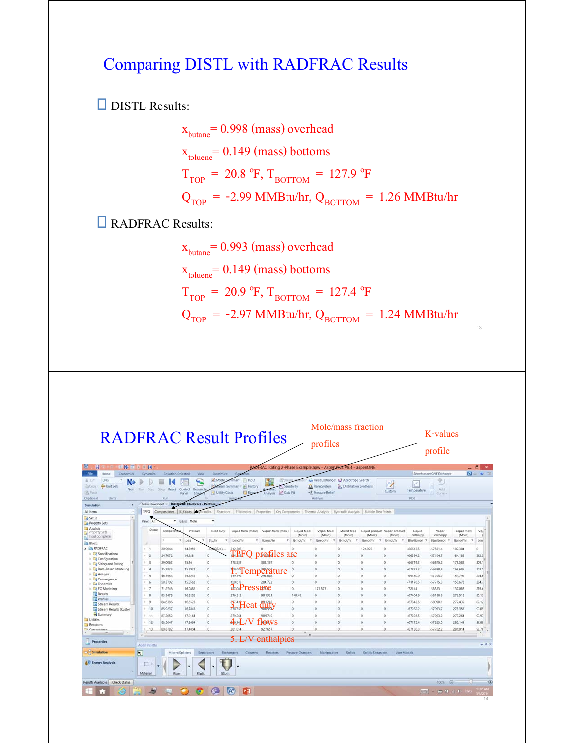### Comparing DISTL with RADFRAC Results

DISTL Results:

 $x<sub>butane</sub> = 0.998 (mass) overhead$  $x_{\text{toluene}} = 0.149 \text{ (mass)}$  bottoms  $T_{TOP}$  = 20.8 °F,  $T_{BOTTOM}$  = 127.9 °F  $Q_{\text{TOP}}$  = -2.99 MMBtu/hr,  $Q_{\text{BOTTOM}}$  = 1.26 MMBtu/hr

**RADFRAC Results:** 

 $x<sub>butane</sub> = 0.993$  (mass) overhead  $x_{\text{toluene}} = 0.149 \text{ (mass) }$ bottoms  $T_{\text{TOP}} = 20.9 \text{ °F}, T_{\text{BOTTON}} = 127.4 \text{ °F}$  $Q<sub>TOP</sub> = -2.97 MMBtu/hr, Q<sub>BOTTOM</sub> = 1.24 MMBtu/hr$ 

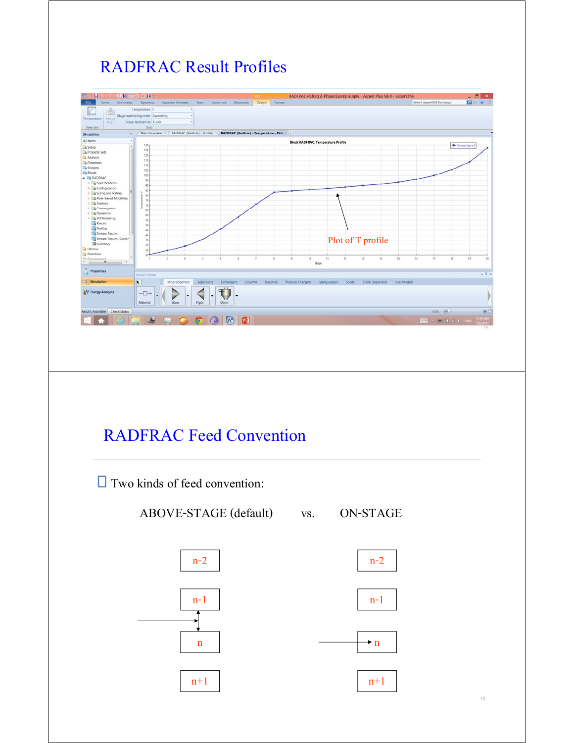## RADFRAC Result Profiles



 $n+1$ 

 $\mathbf{m}$ 

 $n+1$ 

n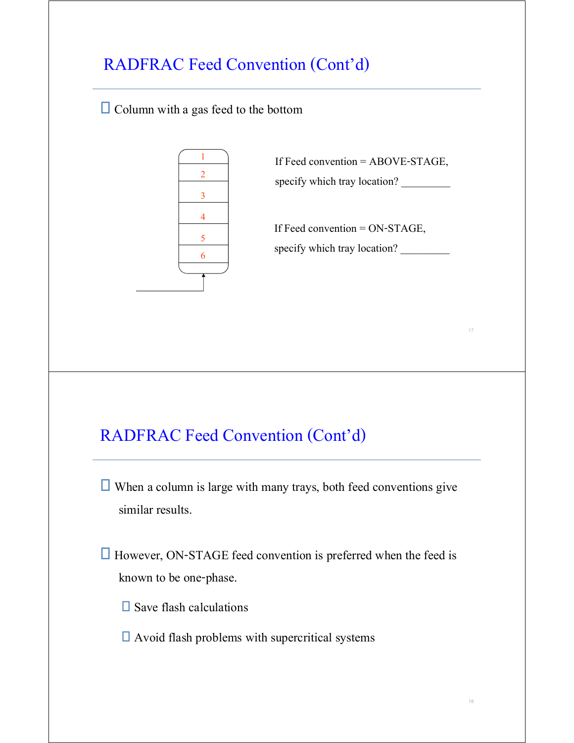## RADFRAC Feed Convention (Cont'd)

 $\Box$  Column with a gas feed to the bottom



If Feed convention = ABOVE-STAGE, specify which tray location?

If Feed convention = ON-STAGE, specify which tray location?

## RADFRAC Feed Convention (Cont'd)

 $\Box$  When a column is large with many trays, both feed conventions give similar results.

 $\Box$  However, ON-STAGE feed convention is preferred when the feed is known to be one-phase.

 $\square$  Save flash calculations

 $\Box$  Avoid flash problems with supercritical systems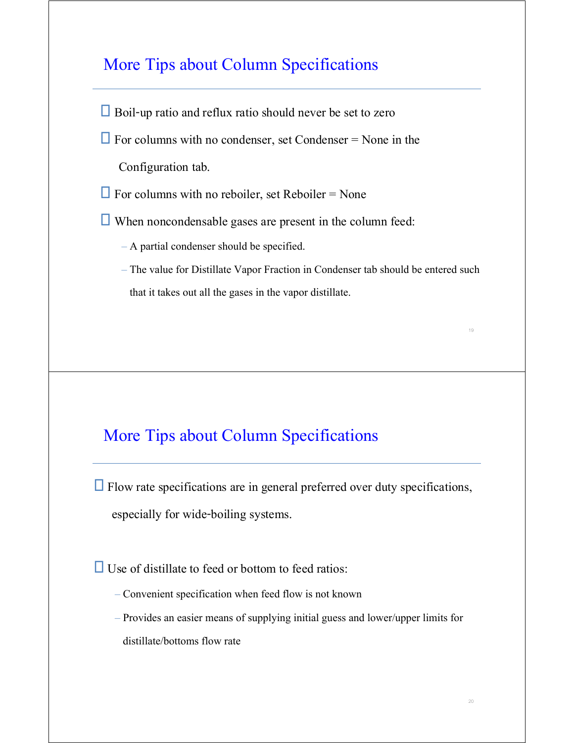### More Tips about Column Specifications

Boil-up ratio and reflux ratio should never be set to zero

 $\Box$  For columns with no condenser, set Condenser = None in the

Configuration tab.

 $\Box$  For columns with no reboiler, set Reboiler = None

 $\Box$  When noncondensable gases are present in the column feed:

– A partial condenser should be specified.

– The value for Distillate Vapor Fraction in Condenser tab should be entered such that it takes out all the gases in the vapor distillate.

### More Tips about Column Specifications

 $\Box$  Flow rate specifications are in general preferred over duty specifications, especially for wide-boiling systems.

 $\Box$  Use of distillate to feed or bottom to feed ratios:

- Convenient specification when feed flow is not known
- Provides an easier means of supplying initial guess and lower/upper limits for distillate/bottoms flow rate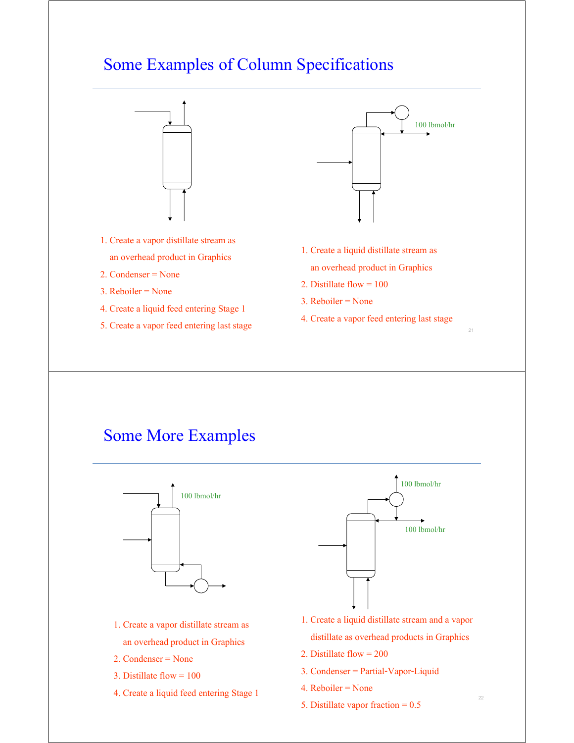### Some Examples of Column Specifications



### Some More Examples



- 1. Create a vapor distillate stream as an overhead product in Graphics
- 2. Condenser = None
- 3. Distillate flow = 100
- 4. Create a liquid feed entering Stage 1



- 1. Create a liquid distillate stream and a vapor distillate as overhead products in Graphics
- 2. Distillate flow = 200
- 3. Condenser = Partial-Vapor-Liquid
- 4. Reboiler = None
- 5. Distillate vapor fraction = 0.5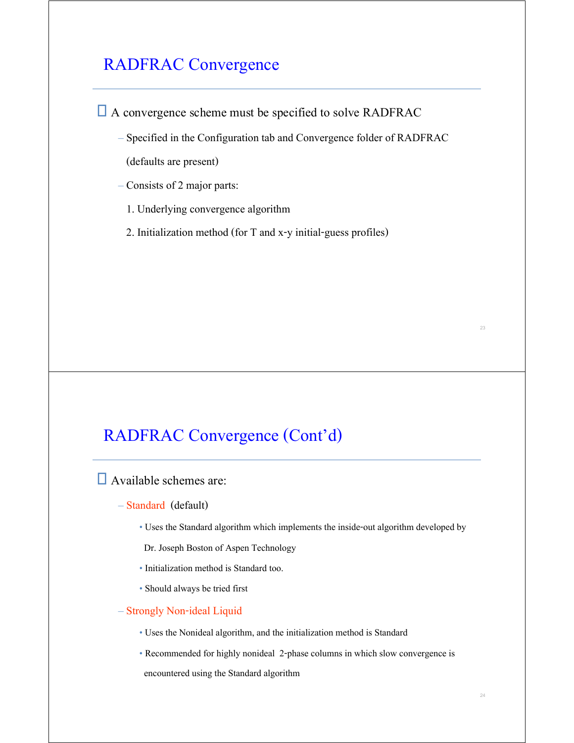### RADFRAC Convergence

A convergence scheme must be specified to solve RADFRAC

– Specified in the Configuration tab and Convergence folder of RADFRAC

(defaults are present)

– Consists of 2 major parts:

- 1. Underlying convergence algorithm
- 2. Initialization method (for T and x-y initial-guess profiles)

### RADFRAC Convergence (Cont'd)

Available schemes are:

- Standard (default)
	- Uses the Standard algorithm which implements the inside-out algorithm developed by

Dr. Joseph Boston of Aspen Technology

- Initialization method is Standard too.
- Should always be tried first
- Strongly Non-ideal Liquid
	- Uses the Nonideal algorithm, and the initialization method is Standard
	- Recommended for highly nonideal 2-phase columns in which slow convergence is encountered using the Standard algorithm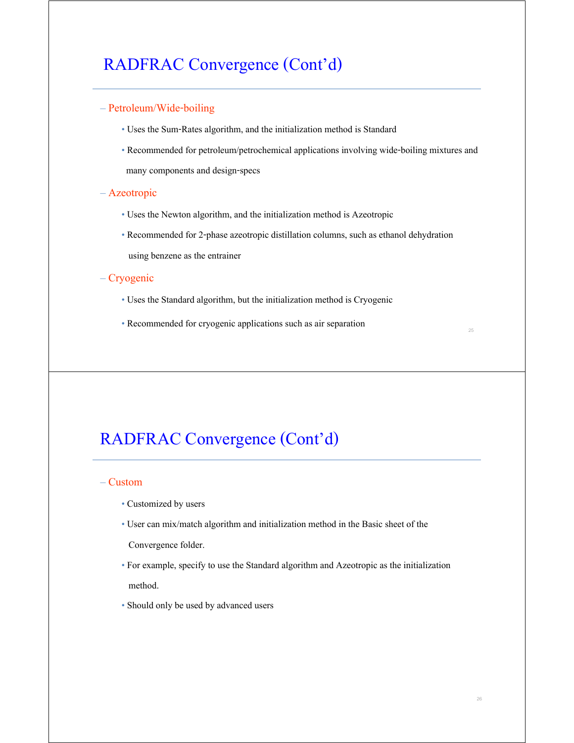### RADFRAC Convergence (Cont'd)

#### – Petroleum/Wide-boiling

- Uses the Sum-Rates algorithm, and the initialization method is Standard
- Recommended for petroleum/petrochemical applications involving wide-boiling mixtures and many components and design-specs

#### – Azeotropic

- Uses the Newton algorithm, and the initialization method is Azeotropic
- Recommended for 2-phase azeotropic distillation columns, such as ethanol dehydration using benzene as the entrainer

#### – Cryogenic

- Uses the Standard algorithm, but the initialization method is Cryogenic
- Recommended for cryogenic applications such as air separation

### RADFRAC Convergence (Cont'd)

#### – Custom

- Customized by users
- User can mix/match algorithm and initialization method in the Basic sheet of the

Convergence folder.

- For example, specify to use the Standard algorithm and Azeotropic as the initialization method.
- Should only be used by advanced users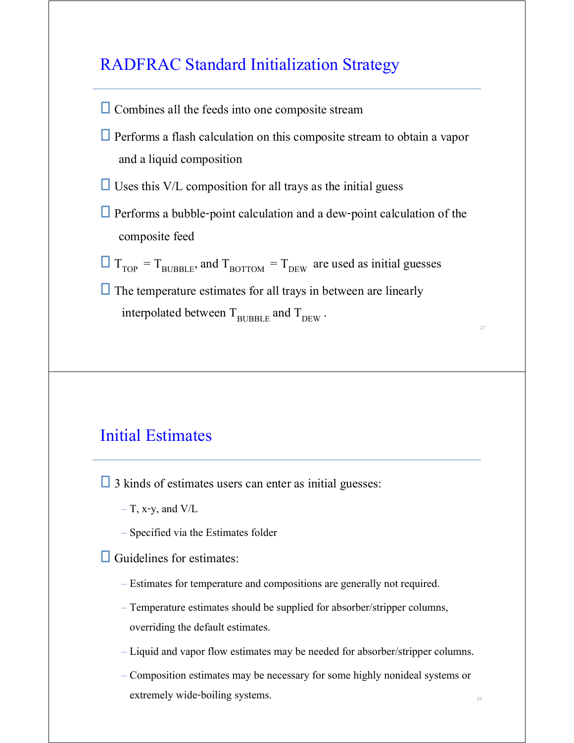### RADFRAC Standard Initialization Strategy

- $\Box$  Combines all the feeds into one composite stream
- $\Box$  Performs a flash calculation on this composite stream to obtain a vapor and a liquid composition
- $\Box$  Uses this V/L composition for all trays as the initial guess
- $\Box$  Performs a bubble-point calculation and a dew-point calculation of the composite feed

27

28

- $T_{\text{TOP}} = T_{\text{BUBBLE}}$ , and  $T_{\text{BOTTOM}} = T_{\text{DEW}}$  are used as initial guesses
- $\Box$  The temperature estimates for all trays in between are linearly interpolated between  $T_{\text{BURBLE}}$  and  $T_{\text{DEW}}$ .

### Initial Estimates

 $\Box$  3 kinds of estimates users can enter as initial guesses:

- $-$  T, x-y, and V/L
- Specified via the Estimates folder

 $\Box$  Guidelines for estimates:

- Estimates for temperature and compositions are generally not required.
- Temperature estimates should be supplied for absorber/stripper columns, overriding the default estimates.
- Liquid and vapor flow estimates may be needed for absorber/stripper columns.
- Composition estimates may be necessary for some highly nonideal systems or extremely wide-boiling systems.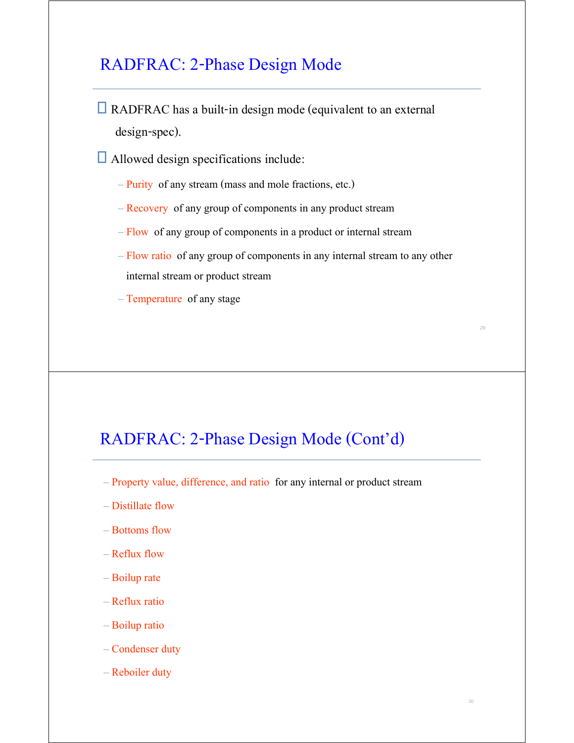### RADFRAC: 2-Phase Design Mode

- $\Box$  RADFRAC has a built-in design mode (equivalent to an external design-spec).
- Allowed design specifications include:
	- Purity of any stream (mass and mole fractions, etc.)
	- Recovery of any group of components in any product stream
	- Flow of any group of components in a product or internal stream
	- Flow ratio of any group of components in any internal stream to any other internal stream or product stream
	- Temperature of any stage

### RADFRAC: 2-Phase Design Mode (Cont'd)

- Property value, difference, and ratio for any internal or product stream
- Distillate flow
- Bottoms flow
- Reflux flow
- Boilup rate
- Reflux ratio
- Boilup ratio
- Condenser duty
- Reboiler duty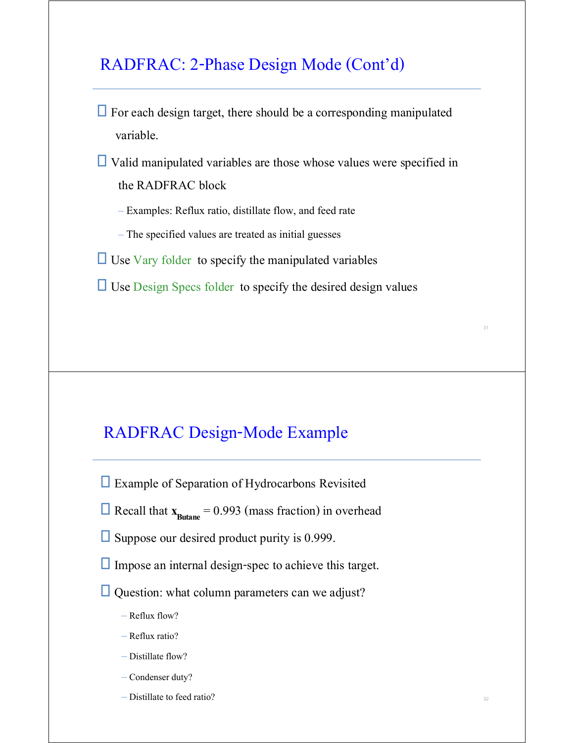### RADFRAC: 2-Phase Design Mode (Cont'd)

 $\Box$  For each design target, there should be a corresponding manipulated variable.

 $\Box$  Valid manipulated variables are those whose values were specified in the RADFRAC block

- Examples: Reflux ratio, distillate flow, and feed rate
- The specified values are treated as initial guesses

 $\Box$  Use Vary folder to specify the manipulated variables

 $\Box$  Use Design Specs folder to specify the desired design values

### RADFRAC Design-Mode Example

- □ Example of Separation of Hydrocarbons Revisited
- $\Box$  Recall that  $\mathbf{x}_{\text{Butane}} = 0.993$  (mass fraction) in overhead
- $\square$  Suppose our desired product purity is 0.999.
- $\Box$  Impose an internal design-spec to achieve this target.
- $\Box$  Question: what column parameters can we adjust?
	- Reflux flow?
	- Reflux ratio?
	- Distillate flow?
	- Condenser duty?
	- Distillate to feed ratio?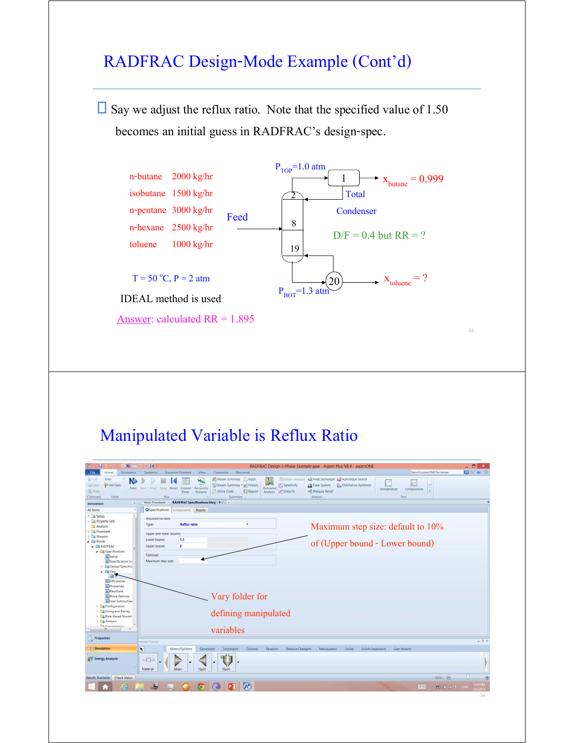### RADFRAC Design-Mode Example (Cont'd)

 $\square$  Say we adjust the reflux ratio. Note that the specified value of 1.50 becomes an initial guess in RADFRAC's design-spec.



## Manipulated Variable is Reflux Ratio

| 经股票卡目线                                                                                                            |                                                                                                                                                                                       | RADFRAC Design 2-Phase Example.apw - Aspen Plus V8.4 - aspenONE                                                                                                                                                                      | $-5$<br>$\mathbf x$   |
|-------------------------------------------------------------------------------------------------------------------|---------------------------------------------------------------------------------------------------------------------------------------------------------------------------------------|--------------------------------------------------------------------------------------------------------------------------------------------------------------------------------------------------------------------------------------|-----------------------|
| Economics<br>Home                                                                                                 | Equation Oriented<br>View<br>Customize<br>Resources<br><b>Dynamics</b>                                                                                                                | Search asperIONE Exchange                                                                                                                                                                                                            | <b>D</b> = <b>W</b> B |
| ENG<br>$K$ Cut<br>N<br><sup>th</sup> Unit Sets<br><b>DCopy</b><br>Next<br>UPS Firste<br>Clipboard<br><b>Units</b> | Model Summary nput<br>ш.<br>Stream Summary * all History<br>Step.<br>Stop Reset Control Reconcile<br>Flairs.<br>Utility Costs<br>Report<br>Panel<br><b>Streams</b><br>Run:<br>Summary | Stream Analysis: 23 Heat Exchanger & Azeotrope Search<br>Sensitivity<br><b>Distillation Synthesis</b><br>J.A. Flare System<br>Activated<br>Temperature<br>Composition<br>l vi<br><b>Data Fit</b><br><br>Analysis<br>Analysis<br>Plot |                       |
| ×<br>Simulation                                                                                                   | <b>RADFRAC Specifications Vary - 1</b><br>Main Flowsheet X                                                                                                                            |                                                                                                                                                                                                                                      |                       |
| All items                                                                                                         | <b>O</b> Specifications<br>Components Results                                                                                                                                         |                                                                                                                                                                                                                                      |                       |
| $\triangleright$ $\square$ Setup<br>> De Property Sets<br>Analysis                                                | Adjusted variable<br><b>Reflux ratio</b><br>Type:                                                                                                                                     | Maximum step size: default to 10%                                                                                                                                                                                                    |                       |
| <b>B</b> Flowsheet<br>> Ca Streams                                                                                | Upper and lower bounds                                                                                                                                                                |                                                                                                                                                                                                                                      |                       |
| 4 <b>By Blocks</b><br><b>4 EB RADFRAC</b>                                                                         | 1.5<br>Lower bound:<br>$\overline{\mathbf{z}}$<br>Upper bound:                                                                                                                        | of (Upper bound - Lower bound)                                                                                                                                                                                                       |                       |
| <b>A Ex</b> Specifications<br>G Setup<br>Specification Su                                                         | Optional<br>Maximum step size:                                                                                                                                                        |                                                                                                                                                                                                                                      |                       |
| > Design Specifical<br>4 <b>By Vary</b><br>四个                                                                     |                                                                                                                                                                                       |                                                                                                                                                                                                                                      |                       |
| <b>a</b> Efficiencies<br><b>Q</b> Properties<br><b>G</b> Reactions                                                |                                                                                                                                                                                       |                                                                                                                                                                                                                                      |                       |
| <b>G</b> Block Options<br>User Subroutine                                                                         | Vary folder for                                                                                                                                                                       |                                                                                                                                                                                                                                      |                       |
| <b>E</b> Configuration<br>> Lis Sizing and Rating<br>> Le Rate-Based Modeli                                       | defining manipulated                                                                                                                                                                  |                                                                                                                                                                                                                                      |                       |
| > Lis Analysis<br><b>1 PM CAMIMANA</b>                                                                            | variables                                                                                                                                                                             |                                                                                                                                                                                                                                      |                       |
| Properties                                                                                                        | Model Palette                                                                                                                                                                         |                                                                                                                                                                                                                                      | $-9$ X                |
| Simulation                                                                                                        | $\overline{\mathbf{r}}$<br>Mixers/Splitters<br><b>Separators</b><br>Exchangers<br><b>Columns</b>                                                                                      | Pressure Changers<br>Manipulators<br><b>Solids</b><br>Solids Separators<br>User Models<br>Reactors                                                                                                                                   |                       |
| <b>AV Energy Analysis</b>                                                                                         | $\neg$<br>Material<br>Mixer<br><b>FSplit</b><br>SSplit                                                                                                                                |                                                                                                                                                                                                                                      |                       |
|                                                                                                                   |                                                                                                                                                                                       |                                                                                                                                                                                                                                      |                       |
| <b>Check Status</b><br>Results Available                                                                          |                                                                                                                                                                                       | 100% @                                                                                                                                                                                                                               |                       |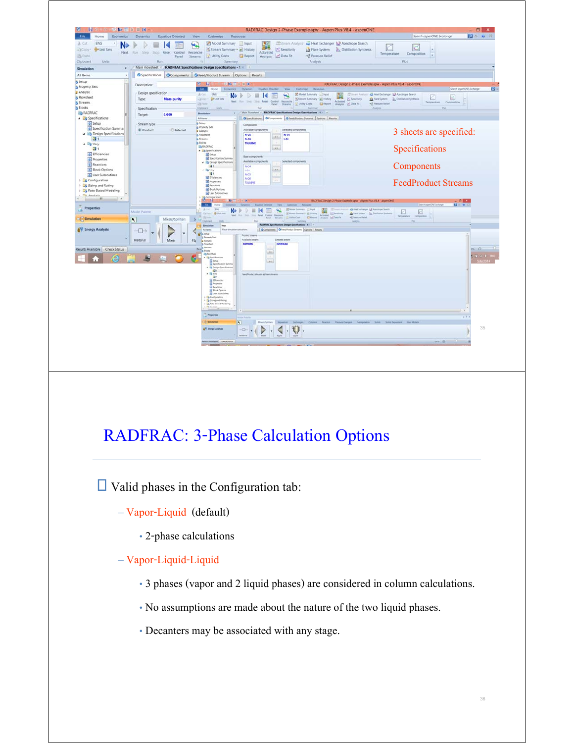

## RADFRAC: 3-Phase Calculation Options

 $\Box$  Valid phases in the Configuration tab:

- Vapor-Liquid (default)
	- 2-phase calculations
- Vapor-Liquid-Liquid
	- 3 phases (vapor and 2 liquid phases) are considered in column calculations.
	- No assumptions are made about the nature of the two liquid phases.
	- Decanters may be associated with any stage.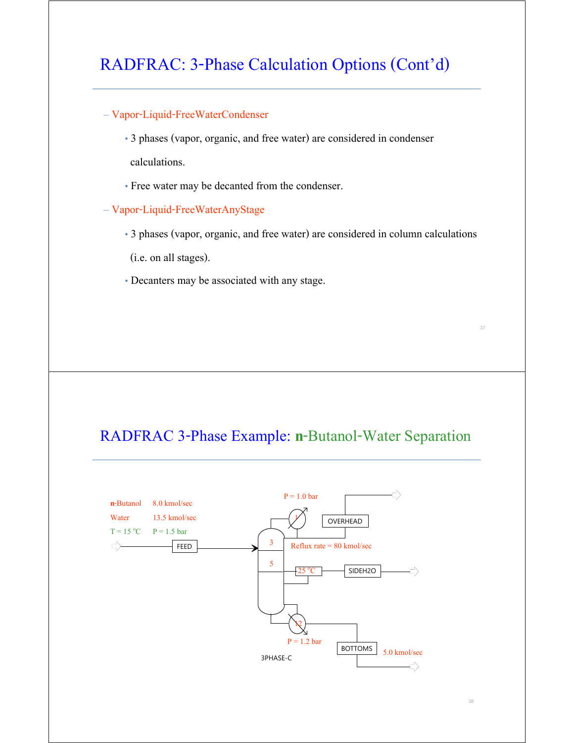### RADFRAC: 3-Phase Calculation Options (Cont'd)

#### – Vapor-Liquid-FreeWaterCondenser

• 3 phases (vapor, organic, and free water) are considered in condenser calculations.

- Free water may be decanted from the condenser.
- Vapor-Liquid-FreeWaterAnyStage
	- 3 phases (vapor, organic, and free water) are considered in column calculations

(i.e. on all stages).

• Decanters may be associated with any stage.

### RADFRAC 3-Phase Example: **n**-Butanol-Water Separation

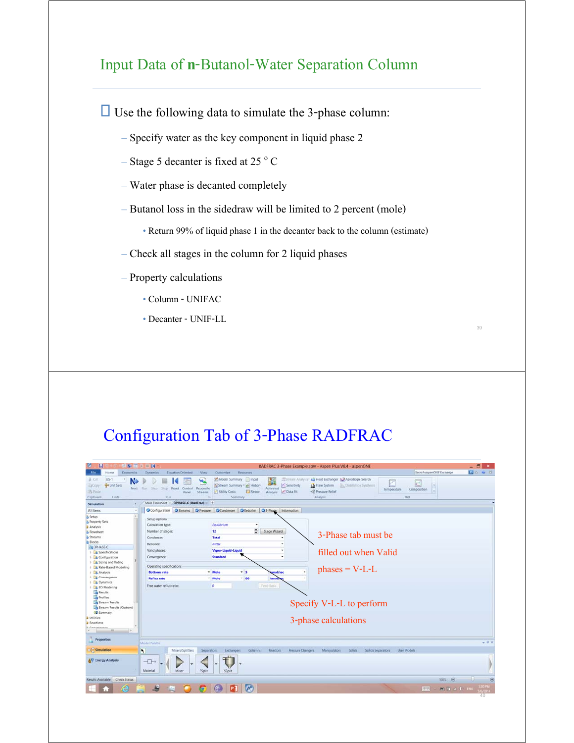### Input Data of **n**-Butanol-Water Separation Column

 $\Box$  Use the following data to simulate the 3-phase column:

- Specify water as the key component in liquid phase 2
- Stage 5 decanter is fixed at 25  $\degree$  C
- Water phase is decanted completely
- Butanol loss in the sidedraw will be limited to 2 percent (mole)

• Return 99% of liquid phase 1 in the decanter back to the column (estimate)

39

- Check all stages in the column for 2 liquid phases
- Property calculations
	- Column UNIFAC
	- Decanter UNIF-LL

### Configuration Tab of 3-Phase RADFRAC

| $N_2 \equiv P \equiv M$<br>ы                                                                                                | RADFRAC 3-Phase Example.apw - Aspen Plus V8.4 - aspenONE                                                                                                                                                                                                                                                                                                                                                                                                                  | $-5$<br>$\mathbf{x}$ |
|-----------------------------------------------------------------------------------------------------------------------------|---------------------------------------------------------------------------------------------------------------------------------------------------------------------------------------------------------------------------------------------------------------------------------------------------------------------------------------------------------------------------------------------------------------------------------------------------------------------------|----------------------|
| Economics<br>Home                                                                                                           | Search aspenONE Exchange<br>Equation Oriented<br>View<br><b>Resources</b><br>Dynamics<br>Customize                                                                                                                                                                                                                                                                                                                                                                        | <b>PO # 3</b>        |
| $US-1$<br>& Cut<br>N.<br><b>C</b> Unit Sets<br>-DCopy<br>Next.<br><b>IN Paste</b><br>Units:<br>Clipboard<br>×<br>Simulation | Stream Analysis: 44 Heat Exchanger. A Azeotrope Search<br>Model Summary Input<br>щ,<br>Sensitivity<br>* Stream Summary * & History<br>1 & Flare System<br>Distillation Synthesis<br>Stop Reset Control<br>Reconcile<br>Activated<br>Step<br>Run<br>Temperature<br>Composition<br>t al<br>+8 Pressure Relief<br><b>Report</b><br>Analysis M Data Fit<br>Utility Costs<br>Streams<br>Panel<br>Run<br>Summary<br>Analysis<br>Plot<br>Main Flowsheet X 3PHASE-C (RadFrac) X + |                      |
| All Items<br>$\sim$                                                                                                         | OStreams OPressure OCondenser OReboiler O3-Phase Information<br>Configuration                                                                                                                                                                                                                                                                                                                                                                                             |                      |
| <b>B</b> Setup                                                                                                              |                                                                                                                                                                                                                                                                                                                                                                                                                                                                           |                      |
| <b>B</b> Property Sets                                                                                                      | Setup options                                                                                                                                                                                                                                                                                                                                                                                                                                                             |                      |
| <b>Analysis</b>                                                                                                             | Equilibrium<br>Calculation type:<br>$\bullet$                                                                                                                                                                                                                                                                                                                                                                                                                             |                      |
| <b>Flowsheet</b>                                                                                                            | $\hat{\mathbf{c}}$<br>Stage Wizard<br>Number of stages:<br>12                                                                                                                                                                                                                                                                                                                                                                                                             |                      |
| & Streams                                                                                                                   | 3-Phase tab must be<br>Condenser:<br><b>Total</b>                                                                                                                                                                                                                                                                                                                                                                                                                         |                      |
| <b>It Blocks</b>                                                                                                            | Kettle<br>Reboiler:                                                                                                                                                                                                                                                                                                                                                                                                                                                       |                      |
| <b>BE BPHASE-C</b>                                                                                                          | $\overline{\phantom{a}}$                                                                                                                                                                                                                                                                                                                                                                                                                                                  |                      |
| <b>B</b> Specifications<br><b>Configuration</b><br><b>b</b> Sizing and Rating                                               | Vapor-Liquid-Liquid<br>Valid phases:<br>filled out when Valid<br>Standard<br>Convergence:<br>$\overline{\phantom{a}}$                                                                                                                                                                                                                                                                                                                                                     |                      |
| <b>B</b> Rate-Based Modeling                                                                                                | Operating specifications                                                                                                                                                                                                                                                                                                                                                                                                                                                  |                      |
| <b>D</b> Analysis                                                                                                           | $phases = V-L-L$<br>* Mole<br>$-5$<br>mol/sec<br><b>Bottoms rate</b>                                                                                                                                                                                                                                                                                                                                                                                                      |                      |
| <b>Ed Convergence</b>                                                                                                       | $-80$<br>* Mole<br><b>Reflux rate</b><br>kmot                                                                                                                                                                                                                                                                                                                                                                                                                             |                      |
| <b>Dynamics</b>                                                                                                             |                                                                                                                                                                                                                                                                                                                                                                                                                                                                           |                      |
| <b>EO</b> Modeling                                                                                                          | Feed Basic<br>Free water reflux ratio:<br>$\circ$                                                                                                                                                                                                                                                                                                                                                                                                                         |                      |
| <b>Results</b>                                                                                                              |                                                                                                                                                                                                                                                                                                                                                                                                                                                                           |                      |
| Profiles                                                                                                                    |                                                                                                                                                                                                                                                                                                                                                                                                                                                                           |                      |
| Stream Results                                                                                                              | Specify V-L-L to perform                                                                                                                                                                                                                                                                                                                                                                                                                                                  |                      |
| Stream Results (Custom)                                                                                                     |                                                                                                                                                                                                                                                                                                                                                                                                                                                                           |                      |
| Summary<br><b>J</b> Utilities                                                                                               |                                                                                                                                                                                                                                                                                                                                                                                                                                                                           |                      |
| Reactions                                                                                                                   | 3-phase calculations                                                                                                                                                                                                                                                                                                                                                                                                                                                      |                      |
| <b>E Commentance</b>                                                                                                        |                                                                                                                                                                                                                                                                                                                                                                                                                                                                           |                      |
| $-18.1$<br>$\rightarrow$                                                                                                    |                                                                                                                                                                                                                                                                                                                                                                                                                                                                           |                      |
| <b>Properties</b>                                                                                                           | Model Palette                                                                                                                                                                                                                                                                                                                                                                                                                                                             | $-1$ X               |
| Simulation                                                                                                                  | $\overline{\mathbf{R}}$<br>Mixers/Splitters<br>Separators<br>User Models<br>Exchangers<br>Columns<br><b>Reactors</b><br>Pressure Changers<br>Manipulators<br><b>Solids</b><br>Solids Separators                                                                                                                                                                                                                                                                           |                      |
|                                                                                                                             |                                                                                                                                                                                                                                                                                                                                                                                                                                                                           |                      |
| &V Energy Analysis                                                                                                          | $\neg$<br>Material<br>FSplit<br>Mixer<br>SSplit                                                                                                                                                                                                                                                                                                                                                                                                                           |                      |
| Results Available Check Status                                                                                              | 100% @                                                                                                                                                                                                                                                                                                                                                                                                                                                                    |                      |
|                                                                                                                             | $\Lambda^+$                                                                                                                                                                                                                                                                                                                                                                                                                                                               | 120 PM<br>/6/201     |
|                                                                                                                             | 脚则                                                                                                                                                                                                                                                                                                                                                                                                                                                                        | ET 4 0 Bio           |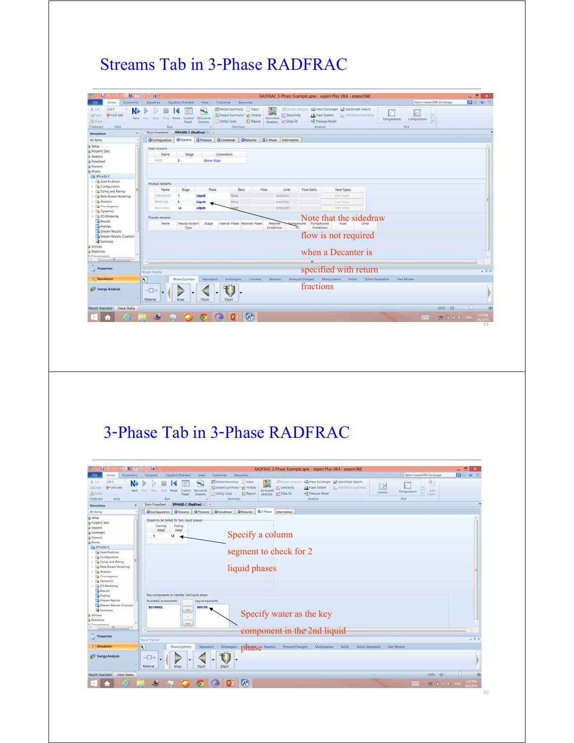## Streams Tab in 3-Phase RADFRAC

| н                                                                                                 | $N_2 = N$                                   |                                     |                                                                                                  |                                                              |                                          | RADFRAC 3-Phase Example.apw - Aspen Plus V8.4 - aspenONE                                |                                     |                           | $-5$<br>$\mathbf{x}$ |
|---------------------------------------------------------------------------------------------------|---------------------------------------------|-------------------------------------|--------------------------------------------------------------------------------------------------|--------------------------------------------------------------|------------------------------------------|-----------------------------------------------------------------------------------------|-------------------------------------|---------------------------|----------------------|
| <b>File</b><br><b>Economics</b><br>Home                                                           | Equation Oriented<br><b>Dynamics</b>        | View                                | Customize<br>Resources                                                                           |                                                              |                                          |                                                                                         |                                     | Search asperIONE Exchange | <b>DO W 8</b>        |
| $US-1$<br>W. Cut.<br>N.<br>To Unit Sets<br><b>LaCopy</b><br>US Faste<br>Clipboard<br><b>Units</b> | Next Run Step<br>Stop Reset Control<br>Run  | ۰.<br>Reconcile<br>Panel<br>Streams | Model Summary Input<br>* Stream Summary * A History<br>Utility Costs<br><b>Report</b><br>Summary | Sensitivity<br><b>Activated</b><br>Analysis <b>Conta Fit</b> | <b>J.A.</b> Flare System<br><br>Analysis | Stream Analysis: 25 Heat Exchanger 1. Azeotrope Search<br><b>Distillation Synthesis</b> | Temperature<br>Composition<br>Piot. | ×<br>×                    |                      |
| <b>R</b><br>Simulation                                                                            | Main Flowsheet x 3PHASE-C (RadFrac) x +     |                                     |                                                                                                  |                                                              |                                          |                                                                                         |                                     |                           |                      |
| All items<br>×                                                                                    |                                             |                                     | O Configuration Streams O Pressure C Condenser C Reboiler C 3-Phase Information                  |                                                              |                                          |                                                                                         |                                     |                           |                      |
| <b>Setup</b>                                                                                      | Feed streams                                |                                     |                                                                                                  |                                                              |                                          |                                                                                         |                                     |                           |                      |
| <b>A</b> Property Sets                                                                            | Name                                        | Stage                               | Convention                                                                                       |                                                              |                                          |                                                                                         |                                     |                           |                      |
| Analysis                                                                                          |                                             |                                     |                                                                                                  |                                                              |                                          |                                                                                         |                                     |                           |                      |
| & Flowsheet                                                                                       | FEED                                        | Above-Stage                         |                                                                                                  |                                                              |                                          |                                                                                         |                                     |                           |                      |
| <b>&amp; Streams</b>                                                                              |                                             |                                     |                                                                                                  |                                                              |                                          |                                                                                         |                                     |                           |                      |
| <b>B</b> Blocks                                                                                   |                                             |                                     |                                                                                                  |                                                              |                                          |                                                                                         |                                     |                           |                      |
| <b>BEST SPHASE-C</b>                                                                              |                                             |                                     |                                                                                                  |                                                              |                                          |                                                                                         |                                     |                           |                      |
| > Coecifications                                                                                  | Product streams                             |                                     |                                                                                                  |                                                              |                                          |                                                                                         |                                     |                           |                      |
| <b>E</b> Configuration<br>> Sizing and Rating                                                     | Stage<br>Name                               | Phase                               | Basis                                                                                            | Flow<br>Units                                                | Flow Ratio                               | Feed Specs                                                                              |                                     |                           |                      |
| > Le Rate-Based Modeling                                                                          | OVERHEAD                                    | Liquid                              | Mole                                                                                             | kmol/sec                                                     |                                          | Teed birris                                                                             |                                     |                           |                      |
| <b>b</b> Analysis                                                                                 | SIDEH2O                                     | Liquid                              | Mole                                                                                             | kroot/sec                                                    |                                          | Feed basis                                                                              |                                     |                           |                      |
| $\frac{1}{2}$ Convergence                                                                         |                                             |                                     |                                                                                                  |                                                              |                                          |                                                                                         |                                     |                           |                      |
| <b>Dynamics</b>                                                                                   | BOTTOMS<br>12                               | Liquid                              |                                                                                                  | kmol/sec                                                     |                                          | Feed batts                                                                              |                                     |                           |                      |
| <b>EQ Modeling</b>                                                                                | Pseudo streams                              |                                     |                                                                                                  |                                                              |                                          |                                                                                         |                                     |                           |                      |
| Results                                                                                           |                                             |                                     |                                                                                                  |                                                              | Pumparound                               | Note that the sidedraw<br>Flow                                                          |                                     |                           |                      |
| Profiles                                                                                          | Name                                        | Pseudo Stream<br>Stage<br>Type      | Internal Phase Reboiler Phase                                                                    | Reboiler<br>Conditions                                       | Pumparound<br>Conditions<br>TO.          |                                                                                         |                                     |                           |                      |
| Stream Results                                                                                    |                                             |                                     |                                                                                                  |                                                              |                                          |                                                                                         |                                     |                           |                      |
| Stream Results (Custom)                                                                           |                                             |                                     |                                                                                                  |                                                              |                                          | flow is not required                                                                    |                                     |                           |                      |
| <b>El</b> Summary                                                                                 |                                             |                                     |                                                                                                  |                                                              |                                          |                                                                                         |                                     |                           |                      |
| J Utilities                                                                                       |                                             |                                     |                                                                                                  |                                                              |                                          |                                                                                         |                                     |                           |                      |
| Reactions                                                                                         |                                             |                                     |                                                                                                  |                                                              |                                          | when a Decanter is                                                                      |                                     |                           |                      |
| <b>Chairman Arts of the Chair</b><br>m.<br>$\rightarrow$                                          |                                             |                                     |                                                                                                  |                                                              |                                          |                                                                                         |                                     |                           |                      |
|                                                                                                   | $\epsilon$                                  |                                     |                                                                                                  |                                                              |                                          |                                                                                         |                                     |                           |                      |
| Properties                                                                                        |                                             |                                     |                                                                                                  |                                                              |                                          | specified with return                                                                   |                                     |                           | $-0 \times$          |
|                                                                                                   | Model Palette                               |                                     |                                                                                                  |                                                              |                                          |                                                                                         |                                     |                           |                      |
| $\Box$ Simulation                                                                                 | $\overline{\mathbf{R}}$<br>Mixers/Splitters | Separators                          | <b>Exchangers</b><br>Columns.                                                                    | Reactors                                                     | Pressure Changers                        | Manipulators<br>Solids<br>Solids Separators                                             | User Models                         |                           |                      |
|                                                                                                   |                                             |                                     |                                                                                                  |                                                              |                                          |                                                                                         |                                     |                           |                      |
| <b>AV Energy Analysis</b>                                                                         | $\neg$                                      |                                     |                                                                                                  |                                                              | fractions                                |                                                                                         |                                     |                           |                      |
|                                                                                                   |                                             |                                     |                                                                                                  |                                                              |                                          |                                                                                         |                                     |                           |                      |
|                                                                                                   | Material<br>Mixer                           | FSplit                              | SSplit                                                                                           |                                                              |                                          |                                                                                         |                                     |                           |                      |
| Results Available Check Status                                                                    |                                             |                                     |                                                                                                  |                                                              |                                          |                                                                                         |                                     | 100% ©                    |                      |
|                                                                                                   |                                             |                                     |                                                                                                  |                                                              |                                          |                                                                                         |                                     |                           |                      |
| e                                                                                                 | Æ                                           |                                     | $\Lambda^+$                                                                                      |                                                              |                                          |                                                                                         | <b>REAL</b>                         | ET 41 BKG                 | <b>3217M</b>         |
|                                                                                                   |                                             |                                     |                                                                                                  |                                                              |                                          |                                                                                         |                                     |                           |                      |

## 3-Phase Tab in 3-Phase RADFRAC

|                                                                                                                 | <b>SENS OR D. III 14</b><br>RADFRAC 3-Phase Example.apw - Aspen Plus V8.4 - aspenONE                                                                                                                                                                                                                                                                                                                                                                               | $ \Box$             |
|-----------------------------------------------------------------------------------------------------------------|--------------------------------------------------------------------------------------------------------------------------------------------------------------------------------------------------------------------------------------------------------------------------------------------------------------------------------------------------------------------------------------------------------------------------------------------------------------------|---------------------|
| Economics<br>File<br>Home                                                                                       | Search aspenONE Exchange<br>Equation Oriented<br>View<br>Customize:<br>Resources<br><b>Dynamics</b>                                                                                                                                                                                                                                                                                                                                                                | <b>PO ME</b>        |
| $US-1$<br>A Cut<br>N<br><b>D</b> Linit Sets<br>LaCopy:<br>Next.<br><b>PA Paste</b><br><b>Units</b><br>Clipboard | Model Summary Input<br>Stream Analysis: 44 Heat Exchanger 1.2 Azeotrope Search<br>ц.<br><b>IV</b><br>Stream Summary · @ History<br><b>PC</b> Sensitivity<br>A Flare System  Distribution Synthesis<br>Stop Reset Control Reconcile<br>Activated<br><b>Step:</b><br>Flurt<br>Temperature.<br>Custom<br><b>FI</b><br>Analysis P Data Fit<br><3, Pressure Relief<br><b>E</b> Report<br>Ublity Costs<br>Panel<br><b>Streams</b><br>Plot<br>Run.<br>Analysis<br>Summary | 191<br>Add<br>Curve |
| $\epsilon$<br>Simulation                                                                                        | Main Flowsheet > 3PHASE-C (RadFrac) > +                                                                                                                                                                                                                                                                                                                                                                                                                            |                     |
| All Items                                                                                                       | OConfiguration OStreams OPressure OCondenser OReboller O3-Phase Information                                                                                                                                                                                                                                                                                                                                                                                        |                     |
| & Setup                                                                                                         | Stages to be tested for two liquid phases                                                                                                                                                                                                                                                                                                                                                                                                                          |                     |
| <b>A</b> Property Sets                                                                                          | Ending<br>Starting                                                                                                                                                                                                                                                                                                                                                                                                                                                 |                     |
| <b>Analysis</b>                                                                                                 | stage<br>stage                                                                                                                                                                                                                                                                                                                                                                                                                                                     |                     |
| & Flowsheet                                                                                                     | Specify a column<br>12<br>٠                                                                                                                                                                                                                                                                                                                                                                                                                                        |                     |
| Streams                                                                                                         |                                                                                                                                                                                                                                                                                                                                                                                                                                                                    |                     |
| <b>Blocks</b><br><b>ES SPHASE-C</b>                                                                             |                                                                                                                                                                                                                                                                                                                                                                                                                                                                    |                     |
| > La Specifications                                                                                             | segment to check for 2                                                                                                                                                                                                                                                                                                                                                                                                                                             |                     |
| Configuration                                                                                                   |                                                                                                                                                                                                                                                                                                                                                                                                                                                                    |                     |
| > Co Sizing and Rating                                                                                          |                                                                                                                                                                                                                                                                                                                                                                                                                                                                    |                     |
| B. Bate-Based Modeling                                                                                          |                                                                                                                                                                                                                                                                                                                                                                                                                                                                    |                     |
| > 3 Analysis                                                                                                    | liquid phases                                                                                                                                                                                                                                                                                                                                                                                                                                                      |                     |
| > Convergence                                                                                                   |                                                                                                                                                                                                                                                                                                                                                                                                                                                                    |                     |
| > Ca Dynamics                                                                                                   |                                                                                                                                                                                                                                                                                                                                                                                                                                                                    |                     |
| > La EO Modeling<br>Results                                                                                     |                                                                                                                                                                                                                                                                                                                                                                                                                                                                    |                     |
| <b>Profiles</b>                                                                                                 | Key components to identify 2nd liquid phase                                                                                                                                                                                                                                                                                                                                                                                                                        |                     |
| Stream Results                                                                                                  | Available components<br>Key components                                                                                                                                                                                                                                                                                                                                                                                                                             |                     |
| Stream Results (Custom)                                                                                         |                                                                                                                                                                                                                                                                                                                                                                                                                                                                    |                     |
| Summary                                                                                                         | <b>BUTANOL</b><br><b>WATER</b><br>$\rightarrow$                                                                                                                                                                                                                                                                                                                                                                                                                    |                     |
| Utilities                                                                                                       | Specify water as the key<br>m.                                                                                                                                                                                                                                                                                                                                                                                                                                     |                     |
| Reactions                                                                                                       |                                                                                                                                                                                                                                                                                                                                                                                                                                                                    |                     |
| Commissioner<br>$^{**}$<br>$\rightarrow$                                                                        | $\epsilon\epsilon$                                                                                                                                                                                                                                                                                                                                                                                                                                                 |                     |
|                                                                                                                 | component in the 2nd liquid                                                                                                                                                                                                                                                                                                                                                                                                                                        |                     |
| Properties                                                                                                      | <b>Model Palette</b>                                                                                                                                                                                                                                                                                                                                                                                                                                               | $-0.3$              |
|                                                                                                                 |                                                                                                                                                                                                                                                                                                                                                                                                                                                                    |                     |
| $\Box$ Simulation                                                                                               | $\overline{\phantom{a}}$<br>Mixers/Splitters<br>Separators<br>:Manipulators<br>: Pressure Changers<br><b>Solids</b><br>Solids Separators<br>User Models<br>Eschangen<br>phase <b>Measure</b>                                                                                                                                                                                                                                                                       |                     |
|                                                                                                                 |                                                                                                                                                                                                                                                                                                                                                                                                                                                                    |                     |
|                                                                                                                 | $\neg\Box\neg$                                                                                                                                                                                                                                                                                                                                                                                                                                                     |                     |
| <b>AV Energy Analysis</b>                                                                                       |                                                                                                                                                                                                                                                                                                                                                                                                                                                                    |                     |
|                                                                                                                 |                                                                                                                                                                                                                                                                                                                                                                                                                                                                    |                     |
|                                                                                                                 | Material<br>Mixer<br>FSplit<br>SSplit                                                                                                                                                                                                                                                                                                                                                                                                                              |                     |
| Results Available Check Status                                                                                  | $\Lambda^*$                                                                                                                                                                                                                                                                                                                                                                                                                                                        | 100%                |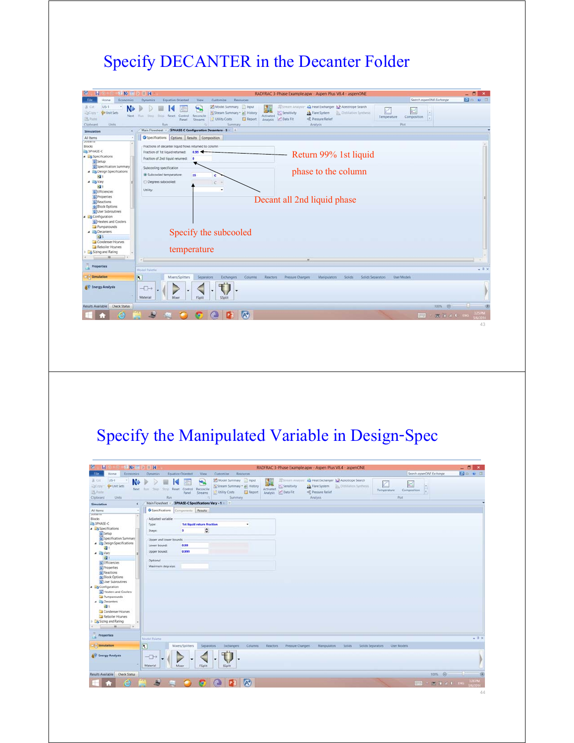# Specify DECANTER in the Decanter Folder

| 3 N 国 ≥ Ⅲ N<br>ы                                                                                                                                                                                                                                     |                                                                                                                                     |                                                                                                          | RADFRAC 3-Phase Example.apw - Aspen Plus V8.4 - aspenONE                                                                                                                                                                                            |                            | а      |
|------------------------------------------------------------------------------------------------------------------------------------------------------------------------------------------------------------------------------------------------------|-------------------------------------------------------------------------------------------------------------------------------------|----------------------------------------------------------------------------------------------------------|-----------------------------------------------------------------------------------------------------------------------------------------------------------------------------------------------------------------------------------------------------|----------------------------|--------|
| File<br>Home<br>Economics                                                                                                                                                                                                                            | <b>Dynamics</b><br><b>Equation Oriented</b>                                                                                         | Customize<br>Resources<br><b>Wew</b>                                                                     |                                                                                                                                                                                                                                                     | Search asperIONE Exchange  | 90 W B |
| $US-1$<br>& Cut<br><b>G</b> Unit Sets<br>23Copy<br>Next.<br><b>B</b> Paste<br>Clipboard<br>Units                                                                                                                                                     | Step.<br>Reset.<br>Control Reconcile<br>Ford.<br>Stitute:<br>Panel.<br>Ran                                                          | Model Summary Input<br>ч.<br>Stream Summary · el History<br>Utility Costs<br>Report<br>Streams<br>Summan | o<br><b>Mistream Analysis</b><br>44 Heat Exchanger & Azeotrope Search<br><b>ZC</b> Sensitivity<br><b>J.A.</b> Flare System<br><b>Distillation Synthesis</b><br>Activated<br>Temperature<br>Data Fit<br><3, Pressure Relief<br>Analysis<br>Analysis. | Composition<br>ix.<br>Plot |        |
| k<br>Simulation                                                                                                                                                                                                                                      | Main Flowsheet > 3PHASE-C Configuration Decanters - 5 + +                                                                           |                                                                                                          |                                                                                                                                                                                                                                                     |                            |        |
| All Items<br>٠                                                                                                                                                                                                                                       | Specifications Options Results Composition                                                                                          |                                                                                                          |                                                                                                                                                                                                                                                     |                            |        |
| <b>JUSHIM</b><br>Blocks<br><b>CB 3PHASE-C</b><br>4 <b>B</b> Specifications<br>G Setup                                                                                                                                                                | Fractions of decanter liquid flows returned to column<br>Fraction of 1st liquid returned:<br>Fraction of 2nd liquid returned:<br>10 | $0.99 - 1$                                                                                               | Return 99% 1st liquid                                                                                                                                                                                                                               |                            |        |
| Specification Summary<br><sup>4</sup> <b>Design Specifications</b><br>四1                                                                                                                                                                             | Subcooling specification<br>Di Subcooled temperature:<br>25                                                                         | c                                                                                                        | phase to the column                                                                                                                                                                                                                                 |                            |        |
| 4 Eg Vary<br>週1<br>G Efficiencies<br><b>Q</b> Properties<br><b>Q</b> Reactions<br><b>G</b> Block Options                                                                                                                                             | © Degrees subcooled:<br>Utility:                                                                                                    | $C =$<br>٠                                                                                               | Decant all 2nd liquid phase                                                                                                                                                                                                                         |                            |        |
| <b>G</b> User Subroutines<br>- <b>L'A</b> Configuration<br><b>Q</b> Heaters and Coolers<br>Pumparounds<br><b>4 <i><u>Decanters</u></i></b><br>四5<br>Condenser Hourves<br>Reboller Hourves<br>Sizing and Rating<br>108<br>$\sim$<br><b>Properties</b> | temperature                                                                                                                         | Specify the subcooled                                                                                    | m                                                                                                                                                                                                                                                   |                            |        |
|                                                                                                                                                                                                                                                      | <b>Model Paintin</b>                                                                                                                |                                                                                                          |                                                                                                                                                                                                                                                     |                            | $-1x$  |
| Simulation                                                                                                                                                                                                                                           | $\overline{\mathbf{R}}$<br>Mixers/Splitters                                                                                         | Separators<br><b>Exchangers</b><br>Columns                                                               | Reactors<br><b>Pressure Changers</b><br><b>Manipulators</b><br><b>Solids</b><br>Solids Separators                                                                                                                                                   | <b>User Models</b>         |        |
| <b>AV Energy Analysis</b>                                                                                                                                                                                                                            | $\neg$<br>Material<br>Mixer                                                                                                         | FSplit<br>SSplit                                                                                         |                                                                                                                                                                                                                                                     |                            |        |
| Results Available Check Status                                                                                                                                                                                                                       |                                                                                                                                     |                                                                                                          |                                                                                                                                                                                                                                                     | 100% ©                     | 30     |
|                                                                                                                                                                                                                                                      |                                                                                                                                     |                                                                                                          |                                                                                                                                                                                                                                                     |                            |        |
| e                                                                                                                                                                                                                                                    |                                                                                                                                     | $A^+$                                                                                                    |                                                                                                                                                                                                                                                     |                            |        |

# Specify the Manipulated Variable in Design-Spec

| ы                                                        | <b>B REED BA</b>                                    |                          |                            |                                                     |                  |                           |                                                                                                                                                                                                                           | RADFRAC 3-Phase Example.apw - Aspen Plus V8.4 - aspenONE                                                       |                   |                    |                           | $-5$<br>× |
|----------------------------------------------------------|-----------------------------------------------------|--------------------------|----------------------------|-----------------------------------------------------|------------------|---------------------------|---------------------------------------------------------------------------------------------------------------------------------------------------------------------------------------------------------------------------|----------------------------------------------------------------------------------------------------------------|-------------------|--------------------|---------------------------|-----------|
| <b>Jile</b><br>Home<br><b>Economics</b>                  | <b>Dynamics</b>                                     | <b>Equation Oriented</b> | Customize<br><b>View</b>   | <b>Resources</b>                                    |                  |                           |                                                                                                                                                                                                                           |                                                                                                                |                   |                    | Search asper/ONE Exchange | 日 0 10 日  |
| $US-1$<br>A Cut<br>$\sim$<br>N.<br>Unit Sets<br>U. Kopy  | Next Ilum Stop Stop Reset Control Reconcile         | с                        | $\mathbf{u}_i$             | Model Summary Input<br>Stream Summary - (a) History | re<br>Activated. | Sensitivity               | Pressure Relief</th <th>Stream Analysis: 44 Heat Exchanger 12 Azeotrope Search<br/>J.A. Flare System ___________ Distillation Synthesis</th> <th>Temperature</th> <th>出<br/>Composition</th> <th>×<br/> x </th> <th></th> | Stream Analysis: 44 Heat Exchanger 12 Azeotrope Search<br>J.A. Flare System ___________ Distillation Synthesis | Temperature       | 出<br>Composition   | ×<br> x                   |           |
| <b>Little Paster</b><br>Units                            | Run                                                 | Panel                    | <b>Streams</b>             | <b>Report</b><br>Utility Costs                      |                  | Analysis <b>COata Fit</b> |                                                                                                                                                                                                                           |                                                                                                                |                   | Plot               |                           |           |
| Clipboard                                                |                                                     |                          | $\sqrt{4}$                 | Summary                                             |                  |                           | Analysis                                                                                                                                                                                                                  |                                                                                                                |                   |                    |                           |           |
| $\left($<br><b>Simulation</b>                            | Main Flowsheet > 3PHASE-C Specifications Vary - 1 + |                          |                            |                                                     |                  |                           |                                                                                                                                                                                                                           |                                                                                                                |                   |                    |                           |           |
| All Items<br>$\bullet$<br>socialità                      | Specifications                                      | Components Results       |                            |                                                     |                  |                           |                                                                                                                                                                                                                           |                                                                                                                |                   |                    |                           |           |
| $\alpha$<br>Blocks                                       | Adjusted variable                                   |                          |                            |                                                     |                  |                           |                                                                                                                                                                                                                           |                                                                                                                |                   |                    |                           |           |
| <b>EN SPHASE-C</b>                                       | Type:                                               |                          | 1st liquid return fraction | ٠                                                   |                  |                           |                                                                                                                                                                                                                           |                                                                                                                |                   |                    |                           |           |
| <b>4</b> Specifications                                  | Stage:                                              | 5                        | ٥                          |                                                     |                  |                           |                                                                                                                                                                                                                           |                                                                                                                |                   |                    |                           |           |
| G Setup                                                  |                                                     |                          |                            |                                                     |                  |                           |                                                                                                                                                                                                                           |                                                                                                                |                   |                    |                           |           |
| <b>G</b> Specification Summary                           | Upper and lower bounds                              |                          |                            |                                                     |                  |                           |                                                                                                                                                                                                                           |                                                                                                                |                   |                    |                           |           |
| <b>A Lig</b> Design Specifications                       | Lower bound:                                        | 0.99                     |                            |                                                     |                  |                           |                                                                                                                                                                                                                           |                                                                                                                |                   |                    |                           |           |
| 提下<br># <b>By Vary</b>                                   | Upper bound:                                        | 0,999                    |                            |                                                     |                  |                           |                                                                                                                                                                                                                           |                                                                                                                |                   |                    |                           |           |
| 园工                                                       |                                                     |                          |                            |                                                     |                  |                           |                                                                                                                                                                                                                           |                                                                                                                |                   |                    |                           |           |
| <b>G</b> Efficiencies                                    | Optional                                            |                          |                            |                                                     |                  |                           |                                                                                                                                                                                                                           |                                                                                                                |                   |                    |                           |           |
| <b>G</b> Properties                                      | Maximum step size:                                  |                          |                            |                                                     |                  |                           |                                                                                                                                                                                                                           |                                                                                                                |                   |                    |                           |           |
| G Reactions                                              |                                                     |                          |                            |                                                     |                  |                           |                                                                                                                                                                                                                           |                                                                                                                |                   |                    |                           |           |
| G Block Options                                          |                                                     |                          |                            |                                                     |                  |                           |                                                                                                                                                                                                                           |                                                                                                                |                   |                    |                           |           |
| User Subroutines                                         |                                                     |                          |                            |                                                     |                  |                           |                                                                                                                                                                                                                           |                                                                                                                |                   |                    |                           |           |
| 4 <b>S</b> Configuration<br><b>Q</b> Heaters and Coolers |                                                     |                          |                            |                                                     |                  |                           |                                                                                                                                                                                                                           |                                                                                                                |                   |                    |                           |           |
| Pumparounds                                              |                                                     |                          |                            |                                                     |                  |                           |                                                                                                                                                                                                                           |                                                                                                                |                   |                    |                           |           |
| A <b>Exp</b> Decanters                                   |                                                     |                          |                            |                                                     |                  |                           |                                                                                                                                                                                                                           |                                                                                                                |                   |                    |                           |           |
| 國乡                                                       |                                                     |                          |                            |                                                     |                  |                           |                                                                                                                                                                                                                           |                                                                                                                |                   |                    |                           |           |
| Condenser Hourves                                        |                                                     |                          |                            |                                                     |                  |                           |                                                                                                                                                                                                                           |                                                                                                                |                   |                    |                           |           |
| Reboller Hourves                                         |                                                     |                          |                            |                                                     |                  |                           |                                                                                                                                                                                                                           |                                                                                                                |                   |                    |                           |           |
| Sizing and Rating                                        |                                                     |                          |                            |                                                     |                  |                           |                                                                                                                                                                                                                           |                                                                                                                |                   |                    |                           |           |
| $^{18}$<br>$\overline{\phantom{a}}$                      |                                                     |                          |                            |                                                     |                  |                           |                                                                                                                                                                                                                           |                                                                                                                |                   |                    |                           |           |
| Properties                                               |                                                     |                          |                            |                                                     |                  |                           |                                                                                                                                                                                                                           |                                                                                                                |                   |                    |                           |           |
|                                                          | <b>Model Palette</b>                                |                          |                            |                                                     |                  |                           |                                                                                                                                                                                                                           |                                                                                                                |                   |                    |                           | $-7x$     |
| Simulation                                               | $\overline{\mathbf{R}}$                             | Mixers/Splitters         | Separators                 | Exchangers<br>Columns                               | <b>Reactors</b>  | Pressure Changers         | Manipulators                                                                                                                                                                                                              | <b>Solids</b>                                                                                                  | Solids Separators | <b>Uter Models</b> |                           |           |
|                                                          |                                                     |                          |                            |                                                     |                  |                           |                                                                                                                                                                                                                           |                                                                                                                |                   |                    |                           |           |
| & Energy Analysis                                        | $\neg$                                              |                          |                            |                                                     |                  |                           |                                                                                                                                                                                                                           |                                                                                                                |                   |                    |                           |           |
|                                                          |                                                     |                          |                            |                                                     |                  |                           |                                                                                                                                                                                                                           |                                                                                                                |                   |                    |                           |           |
|                                                          | <b>Material</b>                                     | Mixer                    | FSplit                     | SSplit                                              |                  |                           |                                                                                                                                                                                                                           |                                                                                                                |                   |                    |                           |           |
| Results Available Check Status                           |                                                     |                          |                            |                                                     |                  |                           |                                                                                                                                                                                                                           |                                                                                                                |                   |                    | 100% 日                    | -0-       |
|                                                          |                                                     |                          |                            |                                                     |                  |                           |                                                                                                                                                                                                                           |                                                                                                                |                   |                    |                           | 126 PM    |
| e                                                        | A<br>坠                                              |                          | to.                        | $\Lambda^+$                                         |                  |                           |                                                                                                                                                                                                                           |                                                                                                                |                   |                    |                           |           |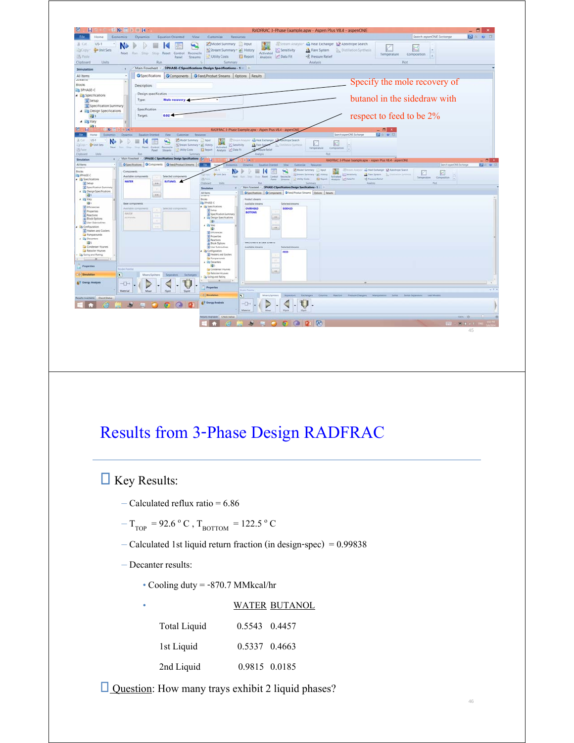

### Results from 3-Phase Design RADFRAC

**Key Results:** 

- $-$  Calculated reflux ratio = 6.86
- ${\rm T_{TOP}}$  = 92.6  $^{\rm o}$  C ,  ${\rm T_{BOTTOM}}$  = 122.5  $^{\rm o}$  C
- Calculated 1st liquid return fraction (in design-spec) = 0.99838
- Decanter results:
	- Cooling duty = -870.7 MMkcal/hr

| ٠ |                     |               | WATER BUTANOL |
|---|---------------------|---------------|---------------|
|   | <b>Total Liquid</b> | 0.5543 0.4457 |               |
|   | 1st Liquid          | 0.5337 0.4663 |               |
|   | 2nd Liquid          |               | 0.9815 0.0185 |

Question: How many trays exhibit 2 liquid phases?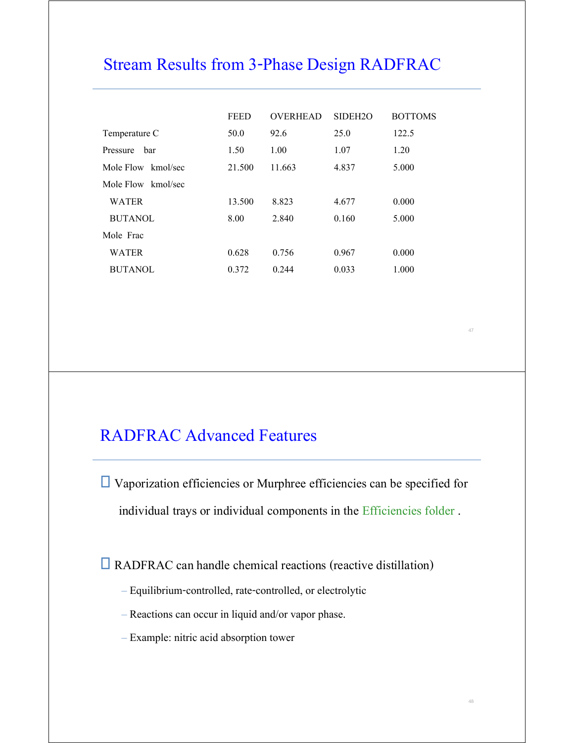### Stream Results from 3-Phase Design RADFRAC

|                    | <b>FEED</b> | <b>OVERHEAD</b> | SIDEH <sub>20</sub> | <b>BOTTOMS</b> |
|--------------------|-------------|-----------------|---------------------|----------------|
| Temperature C      | 50.0        | 92.6            | 25.0                | 122.5          |
| bar<br>Pressure    | 1.50        | 1.00            | 1.07                | 1.20           |
| Mole Flow kmol/sec | 21.500      | 11.663          | 4.837               | 5.000          |
| Mole Flow kmol/sec |             |                 |                     |                |
| <b>WATER</b>       | 13.500      | 8.823           | 4.677               | 0.000          |
| <b>BUTANOL</b>     | 8.00        | 2.840           | 0.160               | 5.000          |
| Mole Frac          |             |                 |                     |                |
| <b>WATER</b>       | 0.628       | 0.756           | 0.967               | 0.000          |
| <b>BUTANOL</b>     | 0.372       | 0.244           | 0.033               | 1.000          |

### RADFRAC Advanced Features

 Vaporization efficiencies or Murphree efficiencies can be specified for individual trays or individual components in the Efficiencies folder.

RADFRAC can handle chemical reactions (reactive distillation)

- Equilibrium-controlled, rate-controlled, or electrolytic
- Reactions can occur in liquid and/or vapor phase.
- Example: nitric acid absorption tower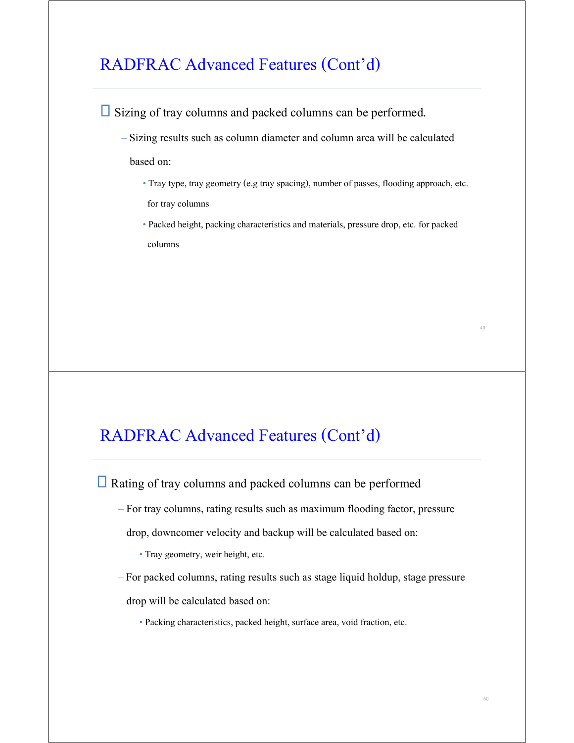### RADFRAC Advanced Features (Cont'd)

 $\Box$  Sizing of tray columns and packed columns can be performed. –Sizing results such as column diameter and column area will be calculated based on: • Tray type, tray geometry (e.g tray spacing), number of passes, flooding approach, etc. for tray columns • Packed height, packing characteristics and materials, pressure drop, etc. for packed columns

### RADFRAC Advanced Features (Cont'd)

■ Rating of tray columns and packed columns can be performed

– For tray columns, rating results such as maximum flooding factor, pressure

drop, downcomer velocity and backup will be calculated based on:

- Tray geometry, weir height, etc.
- –For packed columns, rating results such as stage liquid holdup, stage pressure drop will be calculated based on:
	- Packing characteristics, packed height, surface area, void fraction, etc.